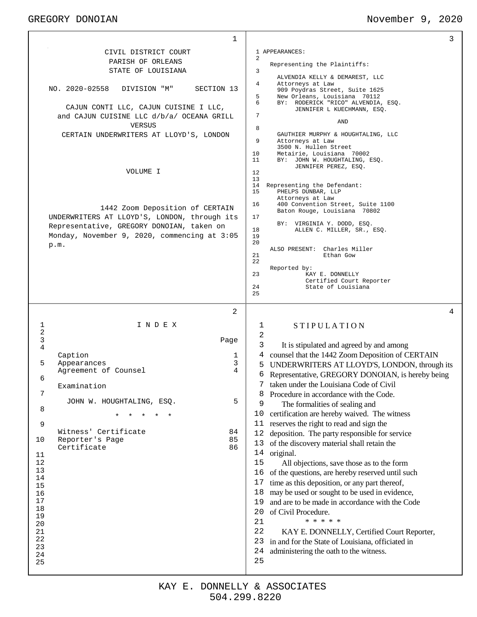## GREGORY DONOIAN November 9, 2020

| 1                                                                                     | 3                                                                                                                                                                         |
|---------------------------------------------------------------------------------------|---------------------------------------------------------------------------------------------------------------------------------------------------------------------------|
| CIVIL DISTRICT COURT                                                                  | 1 APPEARANCES:                                                                                                                                                            |
| PARISH OF ORLEANS                                                                     | 2<br>Representing the Plaintiffs:                                                                                                                                         |
| STATE OF LOUISIANA                                                                    | 3                                                                                                                                                                         |
| NO. 2020-02558<br>SECTION 13<br>DIVISION "M"<br>CAJUN CONTI LLC, CAJUN CUISINE I LLC, | ALVENDIA KELLY & DEMAREST, LLC<br>Attorneys at Law<br>4<br>909 Poydras Street, Suite 1625<br>5<br>New Orleans, Louisiana 70112<br>6<br>BY: RODERICK "RICO" ALVENDIA, ESQ. |
| and CAJUN CUISINE LLC d/b/a/ OCEANA GRILL                                             | JENNIFER L KUECHMANN, ESQ.<br>7<br>AND                                                                                                                                    |
| VERSUS                                                                                | 8                                                                                                                                                                         |
| CERTAIN UNDERWRITERS AT LLOYD'S, LONDON                                               | GAUTHIER MURPHY & HOUGHTALING, LLC<br>9<br>Attorneys at Law<br>3500 N. Hullen Street<br>10<br>Metairie, Louisiana 70002                                                   |
|                                                                                       | 11<br>BY: JOHN W. HOUGHTALING, ESQ.<br>JENNIFER PEREZ, ESQ.                                                                                                               |
| VOLUME I                                                                              | 12<br>13                                                                                                                                                                  |
|                                                                                       | 14<br>Representing the Defendant:<br>15<br>PHELPS DUNBAR, LLP<br>Attorneys at Law                                                                                         |
| 1442 Zoom Deposition of CERTAIN<br>UNDERWRITERS AT LLOYD'S, LONDON, through its       | 400 Convention Street, Suite 1100<br>16<br>Baton Rouge, Louisiana 70802<br>17                                                                                             |
| Representative, GREGORY DONOIAN, taken on                                             | BY: VIRGINIA Y. DODD, ESQ.                                                                                                                                                |
| Monday, November 9, 2020, commencing at 3:05                                          | 18<br>ALLEN C. MILLER, SR., ESQ.<br>19                                                                                                                                    |
| p.m.                                                                                  | 20<br>ALSO PRESENT: Charles Miller                                                                                                                                        |
|                                                                                       | 21<br>Ethan Gow<br>22                                                                                                                                                     |
|                                                                                       | Reported by:                                                                                                                                                              |
|                                                                                       | 23<br>KAY E. DONNELLY<br>Certified Court Reporter                                                                                                                         |
|                                                                                       | 24<br>State of Louisiana<br>25                                                                                                                                            |
|                                                                                       |                                                                                                                                                                           |
| 2                                                                                     | 4                                                                                                                                                                         |
| 1<br>INDEX                                                                            | <b>STIPULATION</b><br>1                                                                                                                                                   |
| 2                                                                                     | 2                                                                                                                                                                         |
| 3<br>Page<br>4                                                                        | 3<br>It is stipulated and agreed by and among                                                                                                                             |
| Caption<br>1                                                                          | counsel that the 1442 Zoom Deposition of CERTAIN<br>4                                                                                                                     |
| 5<br>3<br>Appearances<br>4                                                            | UNDERWRITERS AT LLOYD'S, LONDON, through its<br>5                                                                                                                         |
| Agreement of Counsel<br>6                                                             | Representative, GREGORY DONOIAN, is hereby being<br>6                                                                                                                     |
| Examination                                                                           | 7 taken under the Louisiana Code of Civil                                                                                                                                 |
| 7<br>5<br>JOHN W. HOUGHTALING, ESQ.                                                   | Procedure in accordance with the Code.<br>8                                                                                                                               |
| 8                                                                                     | 9<br>The formalities of sealing and                                                                                                                                       |
|                                                                                       | 10<br>certification are hereby waived. The witness<br>reserves the right to read and sign the<br>11                                                                       |
| 9<br>Witness' Certificate<br>84                                                       | 12<br>deposition. The party responsible for service                                                                                                                       |
| 85<br>10<br>Reporter's Page                                                           | of the discovery material shall retain the<br>13                                                                                                                          |
| 86<br>Certificate<br>11                                                               | 14 original.                                                                                                                                                              |
| 12                                                                                    | 15<br>All objections, save those as to the form                                                                                                                           |
| 13                                                                                    | of the questions, are hereby reserved until such<br>16                                                                                                                    |
| 14<br>15                                                                              | time as this deposition, or any part thereof,<br>17                                                                                                                       |
| 16                                                                                    | may be used or sought to be used in evidence,<br>18                                                                                                                       |
| 17                                                                                    | and are to be made in accordance with the Code<br>19                                                                                                                      |
| 18<br>19                                                                              | 20<br>of Civil Procedure.                                                                                                                                                 |
| 20                                                                                    | * * * * *<br>21                                                                                                                                                           |
| 21                                                                                    | 22<br>KAY E. DONNELLY, Certified Court Reporter,                                                                                                                          |
| 22<br>23                                                                              | 23<br>in and for the State of Louisiana, officiated in                                                                                                                    |
|                                                                                       |                                                                                                                                                                           |
| 24                                                                                    | 24<br>administering the oath to the witness.                                                                                                                              |
| 25                                                                                    | 25                                                                                                                                                                        |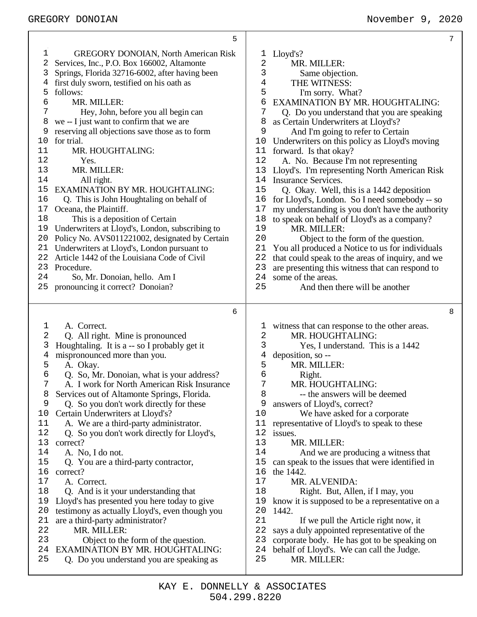|          | 5                                                                                  | 7                                                                    |
|----------|------------------------------------------------------------------------------------|----------------------------------------------------------------------|
| 1        | <b>GREGORY DONOIAN, North American Risk</b>                                        | Lloyd's?<br>T                                                        |
| 2        | Services, Inc., P.O. Box 166002, Altamonte                                         | $\mathbf{2}$<br>MR. MILLER:                                          |
| 3        | Springs, Florida 32716-6002, after having been                                     | 3<br>Same objection.                                                 |
|          | first duly sworn, testified on his oath as                                         | $\overline{4}$<br>THE WITNESS:                                       |
| 5        | follows:                                                                           | 5<br>I'm sorry. What?                                                |
| 6        | MR. MILLER:                                                                        | 6<br>EXAMINATION BY MR. HOUGHTALING:                                 |
| 7        | Hey, John, before you all begin can                                                | 7<br>Q. Do you understand that you are speaking                      |
| 8        | we -- I just want to confirm that we are                                           | as Certain Underwriters at Lloyd's?<br>8                             |
| 9        | reserving all objections save those as to form                                     | 9<br>And I'm going to refer to Certain                               |
| 10       | for trial.                                                                         | Underwriters on this policy as Lloyd's moving<br>10                  |
| 11       | MR. HOUGHTALING:                                                                   | 11 forward. Is that okay?                                            |
| 12       | Yes.                                                                               | 12<br>A. No. Because I'm not representing                            |
| 13       | MR. MILLER:                                                                        | 13<br>Lloyd's. I'm representing North American Risk                  |
| 14       | All right.                                                                         | 14<br><b>Insurance Services.</b>                                     |
| 15       | EXAMINATION BY MR. HOUGHTALING:                                                    | 15<br>Q. Okay. Well, this is a 1442 deposition                       |
| 16       | Q. This is John Houghtaling on behalf of                                           | for Lloyd's, London. So I need somebody -- so<br>16                  |
| 17       | Oceana, the Plaintiff.                                                             | 17<br>my understanding is you don't have the authority               |
| 18       | This is a deposition of Certain                                                    | 18<br>to speak on behalf of Lloyd's as a company?                    |
| 19       | Underwriters at Lloyd's, London, subscribing to                                    | 19<br>MR. MILLER:                                                    |
| 20       | Policy No. AVS011221002, designated by Certain                                     | 20<br>Object to the form of the question.                            |
| 21       | Underwriters at Lloyd's, London pursuant to                                        | You all produced a Notice to us for individuals<br>21                |
| 22       | Article 1442 of the Louisiana Code of Civil                                        | 22<br>that could speak to the areas of inquiry, and we               |
| 23       | Procedure.                                                                         | 23<br>are presenting this witness that can respond to                |
| 24       | So, Mr. Donoian, hello. Am I                                                       | 24<br>some of the areas.                                             |
| 25       | pronouncing it correct? Donoian?                                                   | 25<br>And then there will be another                                 |
|          |                                                                                    |                                                                      |
|          |                                                                                    | 8                                                                    |
|          | 6                                                                                  |                                                                      |
| ı        | A. Correct.                                                                        | witness that can response to the other areas.<br>T                   |
| 2        | Q. All right. Mine is pronounced                                                   | 2<br>MR. HOUGHTALING:                                                |
| 3        | Houghtaling. It is a -- so I probably get it                                       | 3<br>Yes, I understand. This is a 1442                               |
| 4        | mispronounced more than you.                                                       | deposition, so --<br>4                                               |
| 5        | A. Okay.                                                                           | 5<br>MR. MILLER:                                                     |
| 6        | Q. So, Mr. Donoian, what is your address?                                          | 6<br>Right.                                                          |
| 7        | A. I work for North American Risk Insurance                                        | MR. HOUGHTALING:<br>7                                                |
| 8        | Services out of Altamonte Springs, Florida.                                        | 8<br>-- the answers will be deemed                                   |
| 9        | Q. So you don't work directly for these                                            | answers of Lloyd's, correct?<br>9<br>10                              |
| 10<br>11 | Certain Underwriters at Lloyd's?                                                   | We have asked for a corporate<br>11                                  |
| 12       | A. We are a third-party administrator.                                             | representative of Lloyd's to speak to these<br>12                    |
| 13       | Q. So you don't work directly for Lloyd's,<br>correct?                             | issues.<br>13<br>MR. MILLER:                                         |
| 14       | A. No, I do not.                                                                   | 14<br>And we are producing a witness that                            |
| 15       | Q. You are a third-party contractor,                                               | 15<br>can speak to the issues that were identified in                |
| 16       | correct?                                                                           | 16<br>the 1442.                                                      |
| 17       | A. Correct.                                                                        | $17$<br>MR. ALVENIDA:                                                |
| 18       | Q. And is it your understanding that                                               | 18<br>Right. But, Allen, if I may, you                               |
| 19       | Lloyd's has presented you here today to give                                       | know it is supposed to be a representative on a<br>19                |
| 20       | testimony as actually Lloyd's, even though you                                     | 20<br>1442.                                                          |
| 21       | are a third-party administrator?                                                   | 21<br>If we pull the Article right now, it                           |
| 22       | MR. MILLER:                                                                        | 22<br>says a duly appointed representative of the                    |
| 23       | Object to the form of the question.                                                | 23<br>corporate body. He has got to be speaking on                   |
| 24<br>25 | <b>EXAMINATION BY MR. HOUGHTALING:</b><br>Q. Do you understand you are speaking as | 24<br>behalf of Lloyd's. We can call the Judge.<br>25<br>MR. MILLER: |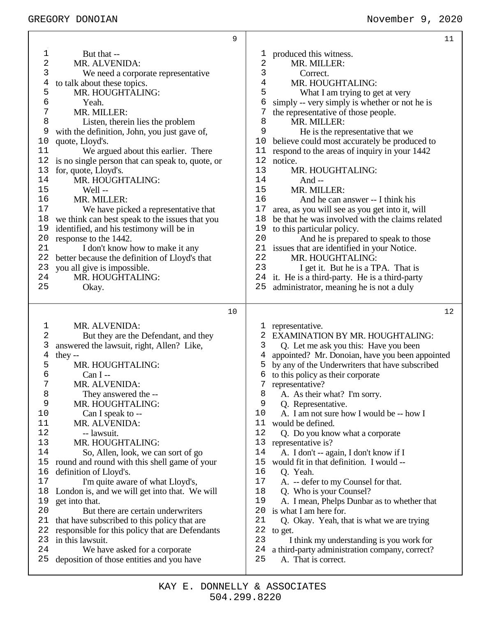|             |                                                                            | 9  |            | 11                                                                                 |
|-------------|----------------------------------------------------------------------------|----|------------|------------------------------------------------------------------------------------|
| 1           | But that --                                                                |    | ı          | produced this witness.                                                             |
| 2           | MR. ALVENIDA:                                                              |    | $\sqrt{2}$ | MR. MILLER:                                                                        |
| 3           | We need a corporate representative                                         |    | 3          | Correct.                                                                           |
| 4           | to talk about these topics.                                                |    | 4          | MR. HOUGHTALING:                                                                   |
| 5           | MR. HOUGHTALING:                                                           |    | 5          | What I am trying to get at very                                                    |
| 6           | Yeah.                                                                      |    | 6          | simply -- very simply is whether or not he is                                      |
| 7           | MR. MILLER:                                                                |    | 7          | the representative of those people.                                                |
| 8           | Listen, therein lies the problem                                           |    | 8          | MR. MILLER:                                                                        |
| 9           | with the definition, John, you just gave of,                               |    | 9          | He is the representative that we                                                   |
| 10          | quote, Lloyd's.                                                            |    | 10         | believe could most accurately be produced to                                       |
| 11          | We argued about this earlier. There                                        |    | 11         | respond to the areas of inquiry in your 1442                                       |
| 12          | is no single person that can speak to, quote, or                           |    | 12         | notice.                                                                            |
| 13          | for, quote, Lloyd's.                                                       |    | 13         | MR. HOUGHTALING:                                                                   |
| 14          | MR. HOUGHTALING:                                                           |    | 14         | And $-$                                                                            |
| 15          | Well-                                                                      |    | 15         | MR. MILLER:                                                                        |
| 16          | MR. MILLER:                                                                |    | 16         | And he can answer -- I think his                                                   |
| 17          | We have picked a representative that                                       |    | 17<br>18   | area, as you will see as you get into it, will                                     |
| 18<br>19    | we think can best speak to the issues that you                             |    | 19         | be that he was involved with the claims related                                    |
| 20          | identified, and his testimony will be in                                   |    | 20         | to this particular policy.                                                         |
| 21          | response to the 1442.<br>I don't know how to make it any                   |    | 21         | And he is prepared to speak to those<br>issues that are identified in your Notice. |
| 22          | better because the definition of Lloyd's that                              |    | 22         | MR. HOUGHTALING:                                                                   |
| 23          | you all give is impossible.                                                |    | 23         | I get it. But he is a TPA. That is                                                 |
| 24          | MR. HOUGHTALING:                                                           |    |            | 24 it. He is a third-party. He is a third-party                                    |
| 25          | Okay.                                                                      |    | 25         | administrator, meaning he is not a duly                                            |
|             |                                                                            |    |            |                                                                                    |
|             |                                                                            |    |            |                                                                                    |
|             |                                                                            | 10 |            | 12                                                                                 |
|             |                                                                            |    |            |                                                                                    |
| $\mathbf 1$ | MR. ALVENIDA:                                                              |    | ı          | representative.                                                                    |
| 2           | But they are the Defendant, and they                                       |    | 2          | <b>EXAMINATION BY MR. HOUGHTALING:</b>                                             |
| 3           | answered the lawsuit, right, Allen? Like,                                  |    | 3          | Q. Let me ask you this: Have you been                                              |
| 4           | they $-$                                                                   |    | 4          | appointed? Mr. Donoian, have you been appointed                                    |
| 5<br>6      | MR. HOUGHTALING:                                                           |    | 5<br>6     | by any of the Underwriters that have subscribed                                    |
| 7           | $Can I -$                                                                  |    |            | to this policy as their corporate                                                  |
| 8           | MR. ALVENIDA:                                                              |    | 8          | representative?                                                                    |
| 9           | They answered the --<br>MR. HOUGHTALING:                                   |    | 9          | A. As their what? I'm sorry.                                                       |
| 10          | Can I speak to --                                                          |    | 10         | Q. Representative.<br>A. I am not sure how I would be -- how I                     |
| 11          | MR. ALVENIDA:                                                              |    | 11         | would be defined.                                                                  |
| 12          | -- lawsuit.                                                                |    | 12         | Q. Do you know what a corporate                                                    |
| 13          | MR. HOUGHTALING:                                                           |    | 13         | representative is?                                                                 |
| 14          | So, Allen, look, we can sort of go                                         |    | 14         | A. I don't -- again, I don't know if I                                             |
| 15          | round and round with this shell game of your                               |    | 15         | would fit in that definition. I would --                                           |
| 16          | definition of Lloyd's.                                                     |    | 16         | Q. Yeah.                                                                           |
| 17          | I'm quite aware of what Lloyd's,                                           |    | 17         | A. -- defer to my Counsel for that.                                                |
| 18          | London is, and we will get into that. We will                              |    | 18         | Q. Who is your Counsel?                                                            |
| 19          | get into that.                                                             |    | 19         | A. I mean, Phelps Dunbar as to whether that                                        |
| 20          | But there are certain underwriters                                         |    | 20         | is what I am here for.                                                             |
| 21          | that have subscribed to this policy that are                               |    | 21         | Q. Okay. Yeah, that is what we are trying                                          |
| 22          | responsible for this policy that are Defendants                            |    | 22         | to get.                                                                            |
| 23          | in this lawsuit.                                                           |    | 23         | I think my understanding is you work for                                           |
| 24<br>25    | We have asked for a corporate<br>deposition of those entities and you have |    | 24<br>25   | a third-party administration company, correct?<br>A. That is correct.              |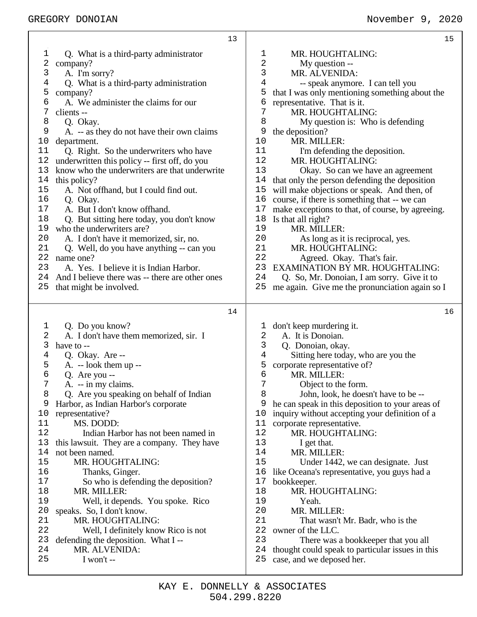|                         | 13                                              |              | 15                                               |
|-------------------------|-------------------------------------------------|--------------|--------------------------------------------------|
| 1                       | Q. What is a third-party administrator          | 1            | MR. HOUGHTALING:                                 |
| $\overline{\mathbf{c}}$ | company?                                        | 2            | My question --                                   |
| 3                       | A. I'm sorry?                                   | 3            | MR. ALVENIDA:                                    |
| $\overline{4}$          | Q. What is a third-party administration         | 4            | -- speak anymore. I can tell you                 |
| 5                       | company?                                        | 5            | that I was only mentioning something about the   |
| б                       | A. We administer the claims for our             | 6            | representative. That is it.                      |
| 7                       | clients --                                      | 7            | MR. HOUGHTALING:                                 |
| 8                       | Q. Okay.                                        | 8            | My question is: Who is defending                 |
| 9                       | A. -- as they do not have their own claims      | 9            | the deposition?                                  |
| 10                      | department.                                     | 10           | MR. MILLER:                                      |
| 11                      | Q. Right. So the underwriters who have          | 11           | I'm defending the deposition.                    |
| 12                      | underwritten this policy -- first off, do you   | 12           | MR. HOUGHTALING:                                 |
| 13                      | know who the underwriters are that underwrite   | 13           | Okay. So can we have an agreement                |
| $1\,4$                  | this policy?                                    | 14           | that only the person defending the deposition    |
| 15                      | A. Not offhand, but I could find out.           | 15           | will make objections or speak. And then, of      |
| 16                      |                                                 | 16           |                                                  |
| 17                      | Q. Okay.                                        | 17           | course, if there is something that -- we can     |
|                         | A. But I don't know offhand.                    | 18           | make exceptions to that, of course, by agreeing. |
| 18                      | Q. But sitting here today, you don't know       | 19           | Is that all right?                               |
| 19                      | who the underwriters are?                       |              | MR. MILLER:                                      |
| 20                      | A. I don't have it memorized, sir, no.          | 20           | As long as it is reciprocal, yes.                |
| 21                      | Q. Well, do you have anything -- can you        | 21           | MR. HOUGHTALING:                                 |
| 22                      | name one?                                       | 22           | Agreed. Okay. That's fair.                       |
| 23                      | A. Yes. I believe it is Indian Harbor.          | 23           | <b>EXAMINATION BY MR. HOUGHTALING:</b>           |
| 24                      | And I believe there was -- there are other ones | 24           | Q. So, Mr. Donoian, I am sorry. Give it to       |
| 25                      | that might be involved.                         | 25           | me again. Give me the pronunciation again so I   |
|                         |                                                 |              |                                                  |
|                         |                                                 |              |                                                  |
|                         | 14                                              |              | 16                                               |
|                         |                                                 |              |                                                  |
| 1                       | Q. Do you know?                                 | $\mathbf{I}$ | don't keep murdering it.                         |
| 2                       | A. I don't have them memorized, sir. I          | $\mathbf{2}$ | A. It is Donoian.                                |
| 3                       | have to --                                      | 3            | Q. Donoian, okay.                                |
| 4                       | Q. Okay. Are --                                 | 4            | Sitting here today, who are you the              |
| 5                       | $A. -$ look them up --                          | 5            | corporate representative of?                     |
| б                       | Q. Are you --                                   | 6            | MR. MILLER:                                      |
| 7                       | A. -- in my claims.                             | 7            | Object to the form.                              |
| 8                       | Q. Are you speaking on behalf of Indian         | 8            | John, look, he doesn't have to be --             |
| 9                       | Harbor, as Indian Harbor's corporate            | 9            | he can speak in this deposition to your areas of |
| 10                      | representative?                                 | 10           | inquiry without accepting your definition of a   |
| 11                      | MS. DODD:                                       | 11           | corporate representative.                        |
| 12                      | Indian Harbor has not been named in             | 12           | MR. HOUGHTALING:                                 |
| 13                      | this lawsuit. They are a company. They have     | 13           | I get that.                                      |
| 14                      | not been named.                                 | 14           | MR. MILLER:                                      |
| 15                      | MR. HOUGHTALING:                                | 15           | Under 1442, we can designate. Just               |
| 16                      | Thanks, Ginger.                                 | 16           | like Oceana's representative, you guys had a     |
| 17                      | So who is defending the deposition?             | 17           | bookkeeper.                                      |
| 18                      | MR. MILLER:                                     | 18           | MR. HOUGHTALING:                                 |
| 19                      | Well, it depends. You spoke. Rico               | 19           | Yeah.                                            |
| 20                      | speaks. So, I don't know.                       | 20           | MR. MILLER:                                      |
| 21                      | MR. HOUGHTALING:                                | 21           | That wasn't Mr. Badr, who is the                 |
| 22                      | Well, I definitely know Rico is not             | 22           | owner of the LLC.                                |
| 23                      | defending the deposition. What I --             | 23           | There was a bookkeeper that you all              |
| 24                      | MR. ALVENIDA:                                   | 24           | thought could speak to particular issues in this |
| 25                      | I won't $-$                                     | 25           | case, and we deposed her.                        |

Τ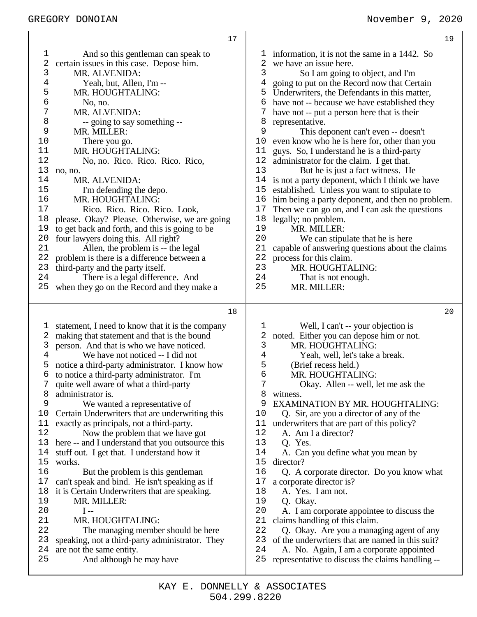|                                                                                                                                               | 17                                                                                                                                                                                                                                                                                                                                                                                                                                                                                                                                                                                                                                                                                                                                                                                                                                                                                                                |                                                                                                                                     | 19                                                                                                                                                                                                                                                                                                                                                                                                                                                                                                                                                                                                                                                                                                                                                                                                                                                                                                                                                             |
|-----------------------------------------------------------------------------------------------------------------------------------------------|-------------------------------------------------------------------------------------------------------------------------------------------------------------------------------------------------------------------------------------------------------------------------------------------------------------------------------------------------------------------------------------------------------------------------------------------------------------------------------------------------------------------------------------------------------------------------------------------------------------------------------------------------------------------------------------------------------------------------------------------------------------------------------------------------------------------------------------------------------------------------------------------------------------------|-------------------------------------------------------------------------------------------------------------------------------------|----------------------------------------------------------------------------------------------------------------------------------------------------------------------------------------------------------------------------------------------------------------------------------------------------------------------------------------------------------------------------------------------------------------------------------------------------------------------------------------------------------------------------------------------------------------------------------------------------------------------------------------------------------------------------------------------------------------------------------------------------------------------------------------------------------------------------------------------------------------------------------------------------------------------------------------------------------------|
| $\mathbf 1$<br>2<br>3<br>4<br>5<br>6<br>7<br>8<br>9<br>10<br>11<br>12<br>13<br>14<br>15<br>16<br>17<br>18<br>19<br>20<br>21<br>22<br>23<br>24 | And so this gentleman can speak to<br>certain issues in this case. Depose him.<br>MR. ALVENIDA:<br>Yeah, but, Allen, I'm --<br>MR. HOUGHTALING:<br>No, no.<br>MR. ALVENIDA:<br>-- going to say something --<br>MR. MILLER:<br>There you go.<br>MR. HOUGHTALING:<br>No, no. Rico. Rico. Rico. Rico,<br>no, no.<br>MR. ALVENIDA:<br>I'm defending the depo.<br>MR. HOUGHTALING:<br>Rico. Rico. Rico. Rico. Look,<br>please. Okay? Please. Otherwise, we are going<br>to get back and forth, and this is going to be<br>four lawyers doing this. All right?<br>Allen, the problem is -- the legal<br>problem is there is a difference between a<br>third-party and the party itself.<br>There is a legal difference. And                                                                                                                                                                                             | T<br>2<br>3<br>4<br>5<br>6<br>7<br>8<br>9<br>10<br>11<br>12<br>13<br>14<br>15<br>16<br>17<br>18<br>19<br>20<br>21<br>22<br>23<br>24 | information, it is not the same in a 1442. So<br>we have an issue here.<br>So I am going to object, and I'm<br>going to put on the Record now that Certain<br>Underwriters, the Defendants in this matter,<br>have not -- because we have established they<br>have not -- put a person here that is their<br>representative.<br>This deponent can't even -- doesn't<br>even know who he is here for, other than you<br>guys. So, I understand he is a third-party<br>administrator for the claim. I get that.<br>But he is just a fact witness. He<br>is not a party deponent, which I think we have<br>established. Unless you want to stipulate to<br>him being a party deponent, and then no problem.<br>Then we can go on, and I can ask the questions<br>legally; no problem.<br>MR. MILLER:<br>We can stipulate that he is here<br>capable of answering questions about the claims<br>process for this claim.<br>MR. HOUGHTALING:<br>That is not enough. |
| 25                                                                                                                                            | when they go on the Record and they make a                                                                                                                                                                                                                                                                                                                                                                                                                                                                                                                                                                                                                                                                                                                                                                                                                                                                        | 25                                                                                                                                  | MR. MILLER:                                                                                                                                                                                                                                                                                                                                                                                                                                                                                                                                                                                                                                                                                                                                                                                                                                                                                                                                                    |
| T<br>2<br>3<br>4<br>5<br>6<br>7<br>8<br>9<br>10<br>11<br>12<br>13<br>14<br>15<br>16<br>17<br>18<br>19<br>20<br>21<br>22<br>23                 | 18<br>statement, I need to know that it is the company<br>making that statement and that is the bound<br>person. And that is who we have noticed.<br>We have not noticed -- I did not<br>notice a third-party administrator. I know how<br>to notice a third-party administrator. I'm<br>quite well aware of what a third-party<br>administrator is.<br>We wanted a representative of<br>Certain Underwriters that are underwriting this<br>exactly as principals, not a third-party.<br>Now the problem that we have got<br>here -- and I understand that you outsource this<br>stuff out. I get that. I understand how it<br>works.<br>But the problem is this gentleman<br>can't speak and bind. He isn't speaking as if<br>it is Certain Underwriters that are speaking.<br>MR. MILLER:<br>$I -$<br>MR. HOUGHTALING:<br>The managing member should be here<br>speaking, not a third-party administrator. They | 1<br>2<br>3<br>4<br>5<br>6<br>7<br>8<br>9<br>10<br>11<br>12<br>13<br>14<br>15<br>16<br>$17$<br>18<br>19<br>20<br>21<br>22<br>23     | 20<br>Well, I can't -- your objection is<br>noted. Either you can depose him or not.<br>MR. HOUGHTALING:<br>Yeah, well, let's take a break.<br>(Brief recess held.)<br>MR. HOUGHTALING:<br>Okay. Allen -- well, let me ask the<br>witness.<br>EXAMINATION BY MR. HOUGHTALING:<br>Q. Sir, are you a director of any of the<br>underwriters that are part of this policy?<br>A. Am I a director?<br>Q. Yes.<br>A. Can you define what you mean by<br>director?<br>Q. A corporate director. Do you know what<br>a corporate director is?<br>A. Yes. I am not.<br>Q. Okay.<br>A. I am corporate appointee to discuss the<br>claims handling of this claim.<br>Q. Okay. Are you a managing agent of any<br>of the underwriters that are named in this suit?                                                                                                                                                                                                         |
| 24<br>25                                                                                                                                      | are not the same entity.<br>And although he may have                                                                                                                                                                                                                                                                                                                                                                                                                                                                                                                                                                                                                                                                                                                                                                                                                                                              | 24<br>25                                                                                                                            | A. No. Again, I am a corporate appointed<br>representative to discuss the claims handling --                                                                                                                                                                                                                                                                                                                                                                                                                                                                                                                                                                                                                                                                                                                                                                                                                                                                   |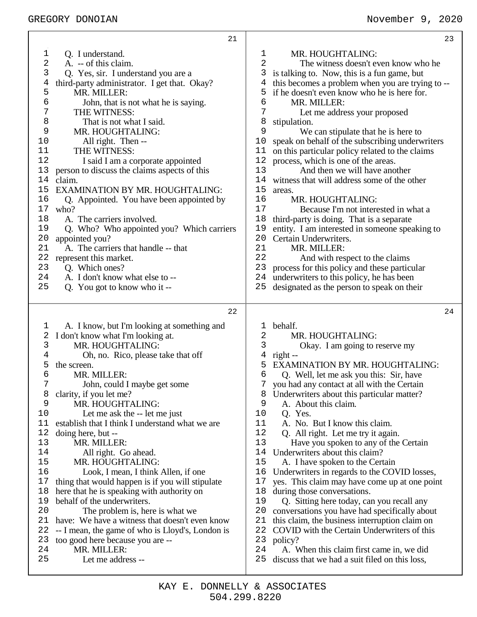|    | 21                                               |                | 23                                               |  |
|----|--------------------------------------------------|----------------|--------------------------------------------------|--|
| 1  | Q. I understand.                                 | 1              | MR. HOUGHTALING:                                 |  |
| 2  | A. -- of this claim.                             | $\overline{2}$ | The witness doesn't even know who he             |  |
| 3  | Q. Yes, sir. I understand you are a              | 3              | is talking to. Now, this is a fun game, but      |  |
| 4  | third-party administrator. I get that. Okay?     | 4              | this becomes a problem when you are trying to -- |  |
| 5  | MR. MILLER:                                      | 5              | if he doesn't even know who he is here for.      |  |
| 6  | John, that is not what he is saying.             | 6              | MR. MILLER:                                      |  |
| 7  | THE WITNESS:                                     | 7              | Let me address your proposed                     |  |
| 8  | That is not what I said.                         | 8              | stipulation.                                     |  |
| 9  | MR. HOUGHTALING:                                 | 9              | We can stipulate that he is here to              |  |
| 10 | All right. Then --                               | 10             | speak on behalf of the subscribing underwriters  |  |
| 11 | THE WITNESS:                                     | 11             | on this particular policy related to the claims  |  |
| 12 | I said I am a corporate appointed                | 12             | process, which is one of the areas.              |  |
| 13 | person to discuss the claims aspects of this     | 13             | And then we will have another                    |  |
| 14 | claim.                                           | 14             | witness that will address some of the other      |  |
| 15 | <b>EXAMINATION BY MR. HOUGHTALING:</b>           | 15             | areas.                                           |  |
| 16 | Q. Appointed. You have been appointed by         | 16             | MR. HOUGHTALING:                                 |  |
| 17 | who?                                             | 17             | Because I'm not interested in what a             |  |
| 18 | A. The carriers involved.                        | 18             | third-party is doing. That is a separate         |  |
| 19 | Q. Who? Who appointed you? Which carriers        | 19             | entity. I am interested in someone speaking to   |  |
| 20 | appointed you?                                   | 20             | Certain Underwriters.                            |  |
| 21 | A. The carriers that handle -- that              | 21             | MR. MILLER:                                      |  |
| 22 | represent this market.                           | 22             | And with respect to the claims                   |  |
| 23 | Q. Which ones?                                   | 23             | process for this policy and these particular     |  |
| 24 | A. I don't know what else to --                  | 24             | underwriters to this policy, he has been         |  |
| 25 | Q. You got to know who it --                     | 25             | designated as the person to speak on their       |  |
|    |                                                  |                |                                                  |  |
|    |                                                  |                |                                                  |  |
|    |                                                  |                |                                                  |  |
|    | 22                                               |                | 24                                               |  |
| 1  | A. I know, but I'm looking at something and      | 1              | behalf.                                          |  |
| 2  | I don't know what I'm looking at.                | 2              | MR. HOUGHTALING:                                 |  |
| 3  | MR. HOUGHTALING:                                 | 3              | Okay. I am going to reserve my                   |  |
| 4  | Oh, no. Rico, please take that off               | 4              | $right -$                                        |  |
| 5  | the screen.                                      | 5              | EXAMINATION BY MR. HOUGHTALING:                  |  |
| 6  | MR. MILLER:                                      | 6              | Q. Well, let me ask you this: Sir, have          |  |
| 7  | John, could I maybe get some                     |                | 7 you had any contact at all with the Certain    |  |
| 8  | clarity, if you let me?                          | 8              | Underwriters about this particular matter?       |  |
| 9  | MR. HOUGHTALING:                                 | 9              | A. About this claim.                             |  |
| 10 | Let me ask the -- let me just                    | 10             | Q. Yes.                                          |  |
| 11 | establish that I think I understand what we are  | 11             | A. No. But I know this claim.                    |  |
| 12 | doing here, but --                               | 12             | Q. All right. Let me try it again.               |  |
| 13 | MR. MILLER:                                      | 13             | Have you spoken to any of the Certain            |  |
| 14 | All right. Go ahead.                             | 14             | Underwriters about this claim?                   |  |
| 15 | MR. HOUGHTALING:                                 | 15             | A. I have spoken to the Certain                  |  |
| 16 | Look, I mean, I think Allen, if one              | 16             | Underwriters in regards to the COVID losses,     |  |
| 17 | thing that would happen is if you will stipulate | 17             | yes. This claim may have come up at one point    |  |
| 18 | here that he is speaking with authority on       | 18             | during those conversations.                      |  |
| 19 | behalf of the underwriters.                      | 19             | Q. Sitting here today, can you recall any        |  |
| 20 | The problem is, here is what we                  | 20             | conversations you have had specifically about    |  |
| 21 | have: We have a witness that doesn't even know   | 21             | this claim, the business interruption claim on   |  |
| 22 | -- I mean, the game of who is Lloyd's, London is | 22             | COVID with the Certain Underwriters of this      |  |
| 23 | too good here because you are --                 | 23             | policy?                                          |  |
| 24 | MR. MILLER:                                      | 24             | A. When this claim first came in, we did         |  |
| 25 | Let me address --                                | 25             | discuss that we had a suit filed on this loss,   |  |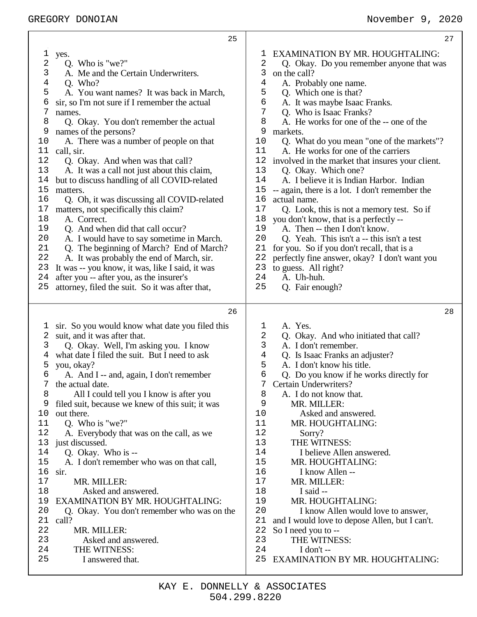| 25                                               | 27                                               |
|--------------------------------------------------|--------------------------------------------------|
| 1                                                | <b>EXAMINATION BY MR. HOUGHTALING:</b>           |
| yes.                                             | T                                                |
| 2                                                | 2                                                |
| Q. Who is "we?"                                  | Q. Okay. Do you remember anyone that was         |
| 3                                                | 3                                                |
| A. Me and the Certain Underwriters.              | on the call?                                     |
| 4                                                | 4                                                |
| Q. Who?                                          | A. Probably one name.                            |
| 5                                                | 5                                                |
| A. You want names? It was back in March,         | Q. Which one is that?                            |
| 6                                                | б                                                |
| sir, so I'm not sure if I remember the actual    | A. It was maybe Isaac Franks.                    |
| 7                                                | 7                                                |
| names.                                           | Q. Who is Isaac Franks?                          |
| 8                                                | 8                                                |
| Q. Okay. You don't remember the actual           | A. He works for one of the -- one of the         |
| 9                                                | 9                                                |
| names of the persons?                            | markets.                                         |
| 10                                               | 10                                               |
| A. There was a number of people on that          | Q. What do you mean "one of the markets"?        |
| 11                                               | 11                                               |
| call, sir.                                       | A. He works for one of the carriers              |
| 12                                               | 12                                               |
| Q. Okay. And when was that call?                 | involved in the market that insures your client. |
| 13                                               | 13                                               |
| A. It was a call not just about this claim,      | Q. Okay. Which one?                              |
| 14                                               | 14                                               |
| but to discuss handling of all COVID-related     | A. I believe it is Indian Harbor. Indian         |
| 15                                               | 15                                               |
| matters.                                         | -- again, there is a lot. I don't remember the   |
| 16                                               | 16                                               |
| Q. Oh, it was discussing all COVID-related       | actual name.                                     |
| 17                                               | 17                                               |
| matters, not specifically this claim?            | Q. Look, this is not a memory test. So if        |
| 18                                               | 18                                               |
| A. Correct.                                      | you don't know, that is a perfectly --           |
| 19                                               | 19                                               |
| Q. And when did that call occur?                 | A. Then -- then I don't know.                    |
| 20                                               | 20                                               |
| A. I would have to say sometime in March.        | Q. Yeah. This isn't a -- this isn't a test       |
| 21                                               | 21                                               |
| Q. The beginning of March? End of March?         | for you. So if you don't recall, that is a       |
| 22                                               | 22                                               |
| A. It was probably the end of March, sir.        | perfectly fine answer, okay? I don't want you    |
| 23                                               | 23                                               |
| It was -- you know, it was, like I said, it was  | to guess. All right?                             |
| 24                                               | 24                                               |
| after you -- after you, as the insurer's         | A. Uh-huh.                                       |
| 25                                               | 25                                               |
| attorney, filed the suit. So it was after that,  | Q. Fair enough?                                  |
| 26                                               | 28                                               |
| sir. So you would know what date you filed this  | A. Yes.                                          |
| $\mathbf{I}$                                     | 1                                                |
| suit, and it was after that.                     | 2                                                |
| 2                                                | Q. Okay. And who initiated that call?            |
| Q. Okay. Well, I'm asking you. I know            | 3                                                |
| 3                                                | A. I don't remember.                             |
| what date I filed the suit. But I need to ask    | Q. Is Isaac Franks an adjuster?                  |
| 4                                                | 4                                                |
| 5                                                | 5                                                |
| you, okay?                                       | A. I don't know his title.                       |
| 6                                                | 6                                                |
| A. And I -- and, again, I don't remember         | Q. Do you know if he works directly for          |
| the actual date.                                 | 7 Certain Underwriters?                          |
| 8                                                | 8                                                |
| All I could tell you I know is after you         | A. I do not know that.                           |
| 9                                                | 9                                                |
| filed suit, because we knew of this suit; it was | MR. MILLER:                                      |
| 10                                               | 10                                               |
| out there.                                       | Asked and answered.                              |
| Q. Who is "we?"                                  | 11                                               |
| 11                                               | MR. HOUGHTALING:                                 |
| 12                                               | 12                                               |
| A. Everybody that was on the call, as we         | Sorry?                                           |
| 13                                               | 13                                               |
| just discussed.                                  | THE WITNESS:                                     |
| Q. Okay. Who is --                               | 14                                               |
| 14                                               | I believe Allen answered.                        |
| 15                                               | 15                                               |
| A. I don't remember who was on that call,        | MR. HOUGHTALING:                                 |
| 16                                               | 16                                               |
| sir.                                             | I know Allen --                                  |
| 17                                               | 17                                               |
| MR. MILLER:                                      | MR. MILLER:                                      |
| 18                                               | 18                                               |
| Asked and answered.                              | I said --                                        |
| <b>EXAMINATION BY MR. HOUGHTALING:</b>           | MR. HOUGHTALING:                                 |
| 19                                               | 19                                               |
| 20                                               | 20                                               |
| Q. Okay. You don't remember who was on the       | I know Allen would love to answer,               |
| 21                                               | 21                                               |
| call?                                            | and I would love to depose Allen, but I can't.   |
| 22                                               | 22                                               |
| MR. MILLER:                                      | So I need you to --                              |
| 23                                               | 23                                               |
| Asked and answered.                              | THE WITNESS:                                     |
| 24                                               | 24                                               |
| THE WITNESS:                                     | I don't $-$                                      |
| 25                                               | 25                                               |
| I answered that.                                 | EXAMINATION BY MR. HOUGHTALING:                  |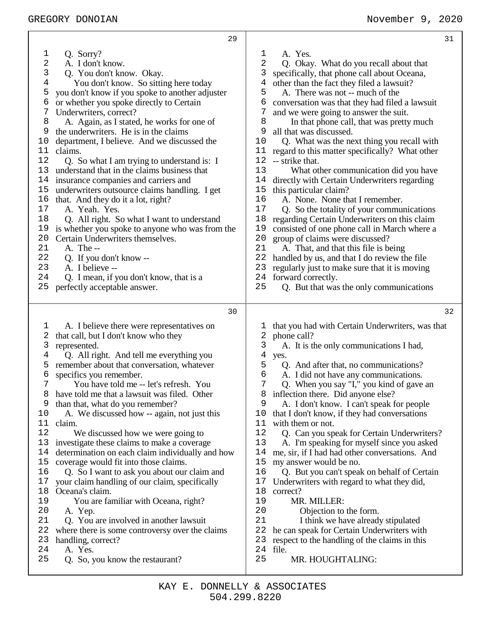| 29                                               | 31                                               |
|--------------------------------------------------|--------------------------------------------------|
| Q. Sorry?                                        | A. Yes.                                          |
| 1                                                | ı                                                |
| 2                                                | 2                                                |
| A. I don't know.                                 | Q. Okay. What do you recall about that           |
| 3                                                | 3                                                |
| Q. You don't know. Okay.                         | specifically, that phone call about Oceana,      |
| $\overline{4}$                                   | 4                                                |
| You don't know. So sitting here today            | other than the fact they filed a lawsuit?        |
| 5                                                | 5                                                |
| you don't know if you spoke to another adjuster  | A. There was not -- much of the                  |
| 6                                                | 6                                                |
| or whether you spoke directly to Certain         | conversation was that they had filed a lawsuit   |
| Underwriters, correct?                           | 7                                                |
| 7                                                | and we were going to answer the suit.            |
| 8                                                | 8                                                |
| A. Again, as I stated, he works for one of       | In that phone call, that was pretty much         |
| 9                                                | 9                                                |
| the underwriters. He is in the claims            | all that was discussed.                          |
| 10                                               | 10                                               |
| department, I believe. And we discussed the      | Q. What was the next thing you recall with       |
| 11                                               | 11                                               |
| claims.                                          | regard to this matter specifically? What other   |
| 12                                               | 12                                               |
| Q. So what I am trying to understand is: I       | -- strike that.                                  |
| 13                                               | 13                                               |
| understand that in the claims business that      | What other communication did you have            |
| 14                                               | 14                                               |
| insurance companies and carriers and             | directly with Certain Underwriters regarding     |
| 15                                               | 15                                               |
| underwriters outsource claims handling. I get    | this particular claim?                           |
| 16                                               | 16                                               |
| that. And they do it a lot, right?               | A. None. None that I remember.                   |
| 17                                               | 17                                               |
| A. Yeah. Yes.                                    | Q. So the totality of your communications        |
| 18                                               | 18                                               |
| Q. All right. So what I want to understand       | regarding Certain Underwriters on this claim     |
| 19                                               | 19                                               |
| is whether you spoke to anyone who was from the  | consisted of one phone call in March where a     |
| 20                                               | 20                                               |
| Certain Underwriters themselves.                 | group of claims were discussed?                  |
| 21                                               | 21                                               |
| A. The --                                        | A. That, and that this file is being             |
| 22                                               | 22                                               |
| Q. If you don't know --                          | handled by us, and that I do review the file     |
| 23                                               | 23                                               |
| A. I believe --                                  | regularly just to make sure that it is moving    |
| 24                                               | 24                                               |
| Q. I mean, if you don't know, that is a          | forward correctly.                               |
| 25                                               | 25                                               |
| perfectly acceptable answer.                     | Q. But that was the only communications          |
| 30                                               | 32                                               |
| A. I believe there were representatives on       | that you had with Certain Underwriters, was that |
| I,                                               | T                                                |
| 2                                                | phone call?                                      |
| that call, but I don't know who they             | 2                                                |
| 3                                                | 3                                                |
| represented.                                     | A. It is the only communications I had,          |
| Q. All right. And tell me everything you         | 4                                                |
| 4                                                | yes.                                             |
| remember about that conversation, whatever       | 5                                                |
| 5                                                | Q. And after that, no communications?            |
| 6                                                | 6                                                |
| specifics you remember.                          | A. I did not have any communications.            |
| $7\phantom{.}$                                   | 7                                                |
| You have told me -- let's refresh. You           | Q. When you say "I," you kind of gave an         |
| have told me that a lawsuit was filed. Other     | inflection there. Did anyone else?               |
| 8                                                | 8                                                |
| 9                                                | 9                                                |
| than that, what do you remember?                 | A. I don't know. I can't speak for people        |
| 10                                               | 10                                               |
| A. We discussed how -- again, not just this      | that I don't know, if they had conversations     |
| 11                                               | 11                                               |
| claim.                                           | with them or not.                                |
| 12                                               | 12                                               |
| We discussed how we were going to                | Q. Can you speak for Certain Underwriters?       |
| 13                                               | 13                                               |
| investigate these claims to make a coverage      | A. I'm speaking for myself since you asked       |
| determination on each claim individually and how | 14                                               |
| 14                                               | me, sir, if I had had other conversations. And   |
| 15                                               | 15                                               |
| coverage would fit into those claims.            | my answer would be no.                           |
| 16                                               | 16                                               |
| Q. So I want to ask you about our claim and      | Q. But you can't speak on behalf of Certain      |
| 17                                               | 17                                               |
| your claim handling of our claim, specifically   | Underwriters with regard to what they did,       |
| 18                                               | 18                                               |
| Oceana's claim.                                  | correct?                                         |
| 19                                               | MR. MILLER:                                      |
| You are familiar with Oceana, right?             | 19                                               |
| 20                                               | 20                                               |
| A. Yep.                                          | Objection to the form.                           |
| 21                                               | 21                                               |
| Q. You are involved in another lawsuit           | I think we have already stipulated               |
| 22                                               | 22                                               |
| where there is some controversy over the claims  | he can speak for Certain Underwriters with       |
| 23                                               | 23                                               |
| handling, correct?                               | respect to the handling of the claims in this    |
| 24                                               | 24                                               |
| A. Yes.                                          | file.                                            |
| 25                                               | 25                                               |
| Q. So, you know the restaurant?                  | MR. HOUGHTALING:                                 |

т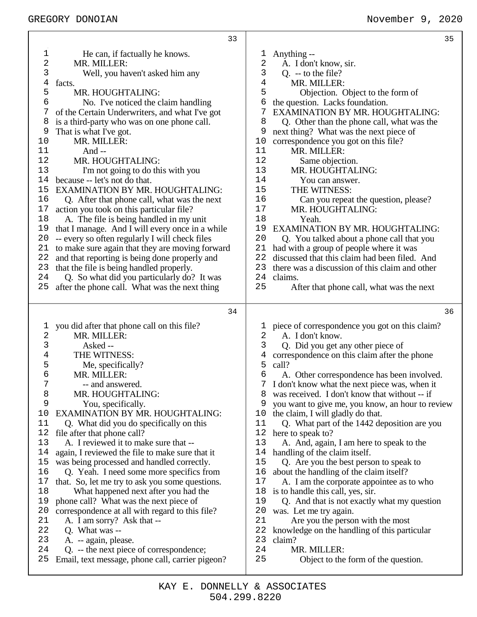|              | 33                                                                                          |                | 35                                                                                    |
|--------------|---------------------------------------------------------------------------------------------|----------------|---------------------------------------------------------------------------------------|
| $\mathbf 1$  | He can, if factually he knows.                                                              | T,             | Anything --                                                                           |
| 2            | MR. MILLER:                                                                                 | 2              | A. I don't know, sir.                                                                 |
| 3            | Well, you haven't asked him any                                                             | 3              | $Q. -$ to the file?                                                                   |
| 4            | facts.                                                                                      | $\overline{4}$ | MR. MILLER:                                                                           |
| 5            | MR. HOUGHTALING:                                                                            | 5              | Objection. Object to the form of                                                      |
| 6            | No. I've noticed the claim handling                                                         | 6              | the question. Lacks foundation.                                                       |
| 7            | of the Certain Underwriters, and what I've got                                              |                | <b>EXAMINATION BY MR. HOUGHTALING:</b>                                                |
| 8            | is a third-party who was on one phone call.                                                 | 8              | Q. Other than the phone call, what was the                                            |
| 9            | That is what I've got.                                                                      | 9              | next thing? What was the next piece of                                                |
| $10$         | MR. MILLER:                                                                                 | 10             | correspondence you got on this file?                                                  |
| 11           | And $-$                                                                                     | 11             | MR. MILLER:                                                                           |
| 12           | MR. HOUGHTALING:                                                                            | 12             | Same objection.                                                                       |
| 13           | I'm not going to do this with you                                                           | 13             | MR. HOUGHTALING:                                                                      |
| 14           | because -- let's not do that.                                                               | 14             | You can answer.                                                                       |
| 15           | EXAMINATION BY MR. HOUGHTALING:                                                             | 15             | THE WITNESS:                                                                          |
| 16           | Q. After that phone call, what was the next                                                 | 16             | Can you repeat the question, please?                                                  |
| 17           | action you took on this particular file?                                                    | 17             | MR. HOUGHTALING:                                                                      |
| 18           | A. The file is being handled in my unit                                                     | 18             | Yeah.                                                                                 |
| 19           | that I manage. And I will every once in a while                                             | 19             | EXAMINATION BY MR. HOUGHTALING:                                                       |
| 20           | -- every so often regularly I will check files                                              | 20             | Q. You talked about a phone call that you                                             |
| 21           | to make sure again that they are moving forward                                             | 21             | had with a group of people where it was                                               |
| 22           | and that reporting is being done properly and                                               | 22             | discussed that this claim had been filed. And                                         |
| 23           | that the file is being handled properly.                                                    | 23             | there was a discussion of this claim and other                                        |
| 24           | Q. So what did you particularly do? It was                                                  | 24             | claims.                                                                               |
| 25           | after the phone call. What was the next thing                                               | 25             | After that phone call, what was the next                                              |
|              |                                                                                             |                |                                                                                       |
|              | 34                                                                                          |                | 36                                                                                    |
|              |                                                                                             |                |                                                                                       |
| $\mathbf{1}$ | you did after that phone call on this file?                                                 | $\mathbf{1}$   | piece of correspondence you got on this claim?                                        |
| $\sqrt{2}$   | MR. MILLER:                                                                                 | 2              | A. I don't know.                                                                      |
| 3            | Asked --                                                                                    | 3              | Q. Did you get any other piece of                                                     |
| 4            | THE WITNESS:                                                                                | 4              | correspondence on this claim after the phone                                          |
| 5            | Me, specifically?                                                                           | 5              | call?                                                                                 |
| 6            | MR. MILLER:                                                                                 | 6              | A. Other correspondence has been involved.                                            |
| 7            | -- and answered.                                                                            | 7<br>8         | I don't know what the next piece was, when it                                         |
| 8<br>9       | MR. HOUGHTALING:                                                                            | 9              | was received. I don't know that without -- if                                         |
| 10           | You, specifically.<br><b>EXAMINATION BY MR. HOUGHTALING:</b>                                | 10             | you want to give me, you know, an hour to review<br>the claim, I will gladly do that. |
| 11           | Q. What did you do specifically on this                                                     | 11             | Q. What part of the 1442 deposition are you                                           |
| 12           | file after that phone call?                                                                 | 12             | here to speak to?                                                                     |
| 13           | A. I reviewed it to make sure that --                                                       | 13             | A. And, again, I am here to speak to the                                              |
| 14           | again, I reviewed the file to make sure that it                                             | 14             | handling of the claim itself.                                                         |
| 15           | was being processed and handled correctly.                                                  | 15             | Q. Are you the best person to speak to                                                |
| 16           | Q. Yeah. I need some more specifics from                                                    | 16             | about the handling of the claim itself?                                               |
| 17           | that. So, let me try to ask you some questions.                                             | 17             | A. I am the corporate appointee as to who                                             |
| 18           | What happened next after you had the                                                        | 18             | is to handle this call, yes, sir.                                                     |
| 19           | phone call? What was the next piece of                                                      | 19             | Q. And that is not exactly what my question                                           |
| 20           | correspondence at all with regard to this file?                                             | 20             | was. Let me try again.                                                                |
| 21           | A. I am sorry? Ask that --                                                                  | 21             | Are you the person with the most                                                      |
| 22           | Q. What was --                                                                              | 22             | knowledge on the handling of this particular                                          |
| 23           | A. -- again, please.                                                                        | 23             | claim?                                                                                |
| 24<br>25     | Q. -- the next piece of correspondence;<br>Email, text message, phone call, carrier pigeon? | 24<br>25       | MR. MILLER:<br>Object to the form of the question.                                    |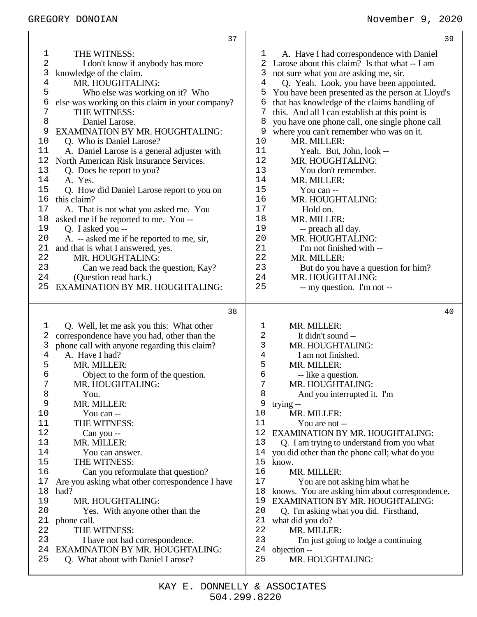|             | 37                                                                       |                | 39                                                      |
|-------------|--------------------------------------------------------------------------|----------------|---------------------------------------------------------|
| $\mathbf 1$ | THE WITNESS:                                                             | ı              | A. Have I had correspondence with Daniel                |
| 2           | I don't know if anybody has more                                         |                | Larose about this claim? Is that what -- I am           |
| 3           | knowledge of the claim.                                                  | 3              | not sure what you are asking me, sir.                   |
| $\,4$       | MR. HOUGHTALING:                                                         | $\overline{4}$ | Q. Yeah. Look, you have been appointed.                 |
| 5           | Who else was working on it? Who                                          | 5              | You have been presented as the person at Lloyd's        |
| 6           | else was working on this claim in your company?                          | 6              | that has knowledge of the claims handling of            |
| 7           | THE WITNESS:                                                             | 7              | this. And all I can establish at this point is          |
| 8           | Daniel Larose.                                                           | 8              | you have one phone call, one single phone call          |
| 9           | EXAMINATION BY MR. HOUGHTALING:                                          | 9              | where you can't remember who was on it.                 |
| 10          | Q. Who is Daniel Larose?                                                 | 10             | MR. MILLER:                                             |
| 11          | A. Daniel Larose is a general adjuster with                              | 11             | Yeah. But, John, look --                                |
| 12          | North American Risk Insurance Services.                                  | 12             | MR. HOUGHTALING:                                        |
| 13          | Q. Does he report to you?                                                | 13             | You don't remember.                                     |
| 14          | A. Yes.                                                                  | 14             | MR. MILLER:                                             |
| 15          | Q. How did Daniel Larose report to you on                                | 15             | You can --                                              |
| 16          | this claim?                                                              | 16             | MR. HOUGHTALING:                                        |
| 17          | A. That is not what you asked me. You                                    | 17             | Hold on.                                                |
| 18          | asked me if he reported to me. You --                                    | 18             | MR. MILLER:                                             |
| 19          | Q. I asked you --                                                        | 19             | -- preach all day.                                      |
| 20          | A. -- asked me if he reported to me, sir,                                | 20             | MR. HOUGHTALING:                                        |
| 21          | and that is what I answered, yes.                                        | 21             | I'm not finished with --                                |
| 22<br>23    | MR. HOUGHTALING:                                                         | 22<br>23       | MR. MILLER:                                             |
| 24          | Can we read back the question, Kay?<br>(Question read back.)             | 24             | But do you have a question for him?<br>MR. HOUGHTALING: |
| 25          | <b>EXAMINATION BY MR. HOUGHTALING:</b>                                   | 25             | -- my question. I'm not --                              |
|             |                                                                          |                |                                                         |
|             |                                                                          |                |                                                         |
|             | 38                                                                       |                | 40                                                      |
|             |                                                                          |                |                                                         |
| 1           | Q. Well, let me ask you this: What other                                 | 1              | MR. MILLER:                                             |
| 2           | correspondence have you had, other than the                              | 2              | It didn't sound --                                      |
| 3<br>4      | phone call with anyone regarding this claim?<br>A. Have I had?           | 3<br>4         | MR. HOUGHTALING:<br>I am not finished.                  |
| 5           | MR. MILLER:                                                              | 5              | MR. MILLER:                                             |
| 6           | Object to the form of the question.                                      | б              | -- like a question.                                     |
| 7           | MR. HOUGHTALING:                                                         | 7              | MR. HOUGHTALING:                                        |
| 8           | You.                                                                     | 8              | And you interrupted it. I'm                             |
| 9           | MR. MILLER:                                                              | 9              | trying --                                               |
| 10          | You can --                                                               | 10             | MR. MILLER:                                             |
| 11          | THE WITNESS:                                                             | 11             | You are not --                                          |
| 12          | Can you --                                                               | 12             | EXAMINATION BY MR. HOUGHTALING:                         |
| 13          | MR. MILLER:                                                              | 13             | Q. I am trying to understand from you what              |
| 14          | You can answer.                                                          | 14             | you did other than the phone call; what do you          |
| 15          | THE WITNESS:                                                             | 15             | know.                                                   |
| 16          | Can you reformulate that question?                                       | 16             | MR. MILLER:                                             |
| 17          | Are you asking what other correspondence I have                          | 17             | You are not asking him what he                          |
| 18          | had?                                                                     | 18             | knows. You are asking him about correspondence.         |
| 19          | MR. HOUGHTALING:                                                         | 19             | EXAMINATION BY MR. HOUGHTALING:                         |
| 20          | Yes. With anyone other than the                                          | 20             | Q. I'm asking what you did. Firsthand,                  |
| 21<br>22    | phone call.<br>THE WITNESS:                                              | 21<br>22       | what did you do?                                        |
| 23          |                                                                          | 23             | MR. MILLER:                                             |
| 24          | I have not had correspondence.<br><b>EXAMINATION BY MR. HOUGHTALING:</b> | 24             | I'm just going to lodge a continuing<br>objection --    |
| 25          | Q. What about with Daniel Larose?                                        | 25             | MR. HOUGHTALING:                                        |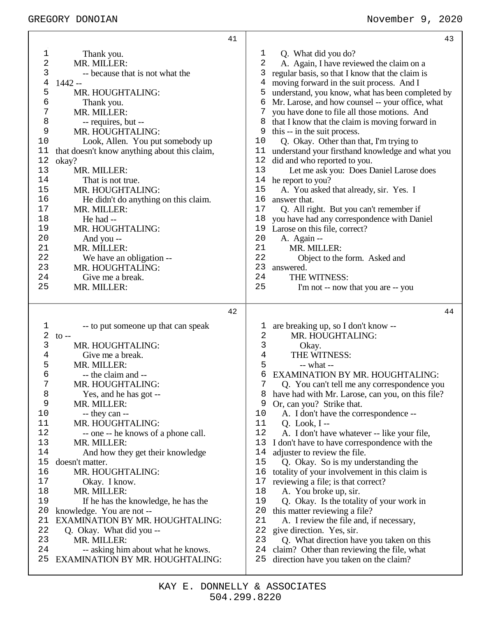|                  | 41                                                                           | 43                                                                                               |
|------------------|------------------------------------------------------------------------------|--------------------------------------------------------------------------------------------------|
|                  |                                                                              |                                                                                                  |
| 1                | Thank you.                                                                   | Q. What did you do?<br>1                                                                         |
| 2                | MR. MILLER:                                                                  | A. Again, I have reviewed the claim on a<br>2                                                    |
| 3                | -- because that is not what the                                              | 3<br>regular basis, so that I know that the claim is                                             |
| 4                | 1442 --                                                                      | moving forward in the suit process. And I<br>4                                                   |
| 5                | MR. HOUGHTALING:                                                             | 5 understand, you know, what has been completed by                                               |
| 6                | Thank you.                                                                   | Mr. Larose, and how counsel -- your office, what<br>6                                            |
| $\boldsymbol{7}$ | MR. MILLER:                                                                  | 7<br>you have done to file all those motions. And                                                |
| 8                | -- requires, but --                                                          | that I know that the claim is moving forward in<br>8                                             |
| 9                | MR. HOUGHTALING:                                                             | this -- in the suit process.<br>9                                                                |
| 10               | Look, Allen. You put somebody up                                             | Q. Okay. Other than that, I'm trying to<br>10                                                    |
| 11               | that doesn't know anything about this claim,                                 | understand your firsthand knowledge and what you<br>11                                           |
| 12               | okay?                                                                        | 12<br>did and who reported to you.                                                               |
| 13               | MR. MILLER:                                                                  | 13<br>Let me ask you: Does Daniel Larose does                                                    |
| 14               | That is not true.                                                            | 14 he report to you?                                                                             |
| 15               | MR. HOUGHTALING:                                                             | 15<br>A. You asked that already, sir. Yes. I                                                     |
| 16               | He didn't do anything on this claim.                                         | 16<br>answer that.                                                                               |
| 17               | MR. MILLER:                                                                  | 17<br>Q. All right. But you can't remember if                                                    |
| 18               | He had --                                                                    | 18<br>you have had any correspondence with Daniel                                                |
| 19               | MR. HOUGHTALING:                                                             | 19<br>Larose on this file, correct?                                                              |
| 20               | And you --                                                                   | 20<br>A. Again --                                                                                |
| 21               | MR. MILLER:                                                                  | 21<br>MR. MILLER:                                                                                |
| 22               | We have an obligation --                                                     | 22<br>Object to the form. Asked and                                                              |
| 23               | MR. HOUGHTALING:                                                             | 23<br>answered.                                                                                  |
| 24               | Give me a break.                                                             | 24<br>THE WITNESS:                                                                               |
| 25               | MR. MILLER:                                                                  | 25<br>I'm not -- now that you are -- you                                                         |
|                  |                                                                              |                                                                                                  |
|                  |                                                                              |                                                                                                  |
|                  | 42                                                                           | 44                                                                                               |
| 1                | -- to put someone up that can speak                                          | are breaking up, so I don't know --<br>$\mathbf 1$                                               |
| $\sqrt{2}$       | $\mathfrak{g}$ --                                                            | 2<br>MR. HOUGHTALING:                                                                            |
| 3                | MR. HOUGHTALING:                                                             | 3<br>Okay.                                                                                       |
| $\overline{4}$   | Give me a break.                                                             | $\overline{4}$<br>THE WITNESS:                                                                   |
| 5                | MR. MILLER:                                                                  | 5<br>-- what --                                                                                  |
| 6                | -- the claim and --                                                          | 6<br><b>EXAMINATION BY MR. HOUGHTALING:</b>                                                      |
| 7                | MR. HOUGHTALING:                                                             | 7<br>Q. You can't tell me any correspondence you                                                 |
| 8                | Yes, and he has got --                                                       | have had with Mr. Larose, can you, on this file?<br>8                                            |
| 9                | MR. MILLER:                                                                  | Or, can you? Strike that.<br>9                                                                   |
| 10               | -- they can --                                                               | A. I don't have the correspondence --<br>10                                                      |
| 11               | MR. HOUGHTALING:                                                             | 11<br>$Q. Look, I --$                                                                            |
| 12               | -- one -- he knows of a phone call.                                          | 12<br>A. I don't have whatever -- like your file,                                                |
| 13               | MR. MILLER:                                                                  | 13<br>I don't have to have correspondence with the                                               |
| 14               | And how they get their knowledge                                             | 14<br>adjuster to review the file.                                                               |
| 15               | doesn't matter.                                                              | 15<br>Q. Okay. So is my understanding the                                                        |
| 16               | MR. HOUGHTALING:                                                             | 16<br>totality of your involvement in this claim is                                              |
| 17               | Okay. I know.                                                                | 17<br>reviewing a file; is that correct?                                                         |
| 18               | MR. MILLER:                                                                  | 18<br>A. You broke up, sir.                                                                      |
| 19               | If he has the knowledge, he has the                                          | 19<br>Q. Okay. Is the totality of your work in                                                   |
| 20               | knowledge. You are not --                                                    | 20<br>this matter reviewing a file?                                                              |
| 21               | <b>EXAMINATION BY MR. HOUGHTALING:</b>                                       | 21<br>A. I review the file and, if necessary,                                                    |
| 22               | Q. Okay. What did you --                                                     | 22<br>give direction. Yes, sir.                                                                  |
| 23               | MR. MILLER:                                                                  | 23<br>Q. What direction have you taken on this                                                   |
| 24<br>25         | -- asking him about what he knows.<br><b>EXAMINATION BY MR. HOUGHTALING:</b> | 24<br>claim? Other than reviewing the file, what<br>25<br>direction have you taken on the claim? |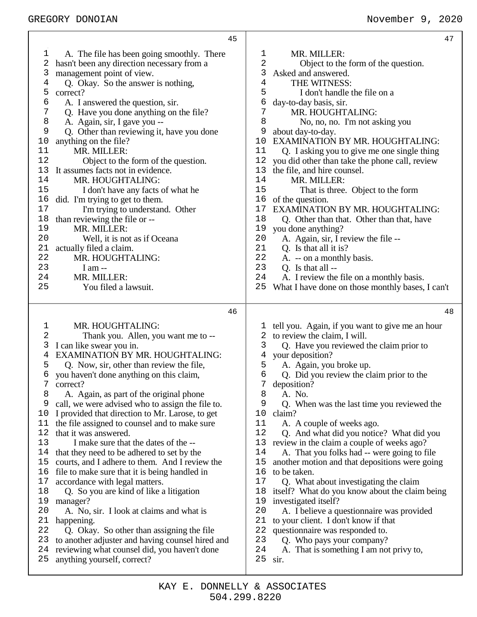|      | 45                                               |                |                                                  |
|------|--------------------------------------------------|----------------|--------------------------------------------------|
| ı    | A. The file has been going smoothly. There       | 1              | MR. MILLER:                                      |
| 2    | hasn't been any direction necessary from a       | 2              | Object to the form of the question.              |
| 3    | management point of view.                        | 3              | Asked and answered.                              |
| 4    | Q. Okay. So the answer is nothing,               | $\overline{4}$ | THE WITNESS:                                     |
| 5    | correct?                                         | 5              | I don't handle the file on a                     |
| б    | A. I answered the question, sir.                 | 6              | day-to-day basis, sir.                           |
| 7    | Q. Have you done anything on the file?           | 7              | MR. HOUGHTALING:                                 |
| 8    | A. Again, sir, I gave you --                     | 8              | No, no, no. I'm not asking you                   |
| 9    | Q. Other than reviewing it, have you done        | 9              | about day-to-day.                                |
| $10$ | anything on the file?                            | 10             | EXAMINATION BY MR. HOUGHTALING:                  |
| 11   | MR. MILLER:                                      | 11             | Q. I asking you to give me one single thing      |
| 12   | Object to the form of the question.              | $1\,2$         | you did other than take the phone call, review   |
| 13   | It assumes facts not in evidence.                | 13             | the file, and hire counsel.                      |
| 14   | MR. HOUGHTALING:                                 | 14             | MR. MILLER:                                      |
| 15   | I don't have any facts of what he                | 15             | That is three. Object to the form                |
| 16   | did. I'm trying to get to them.                  | 16             | of the question.                                 |
| 17   | I'm trying to understand. Other                  | 17             | EXAMINATION BY MR. HOUGHTALING:                  |
| 18   | than reviewing the file or --                    | 18             | Q. Other than that. Other than that, have        |
| 19   | MR. MILLER:                                      | 19             | you done anything?                               |
| 20   | Well, it is not as if Oceana                     | 20             | A. Again, sir, I review the file --              |
| 21   | actually filed a claim.                          | 21             | Q. Is that all it is?                            |
| 22   | MR. HOUGHTALING:                                 | 22             | A. -- on a monthly basis.                        |
| 23   | I am $-$                                         | 23             | Q. Is that all --                                |
| 24   | MR. MILLER:                                      | 24             | A. I review the file on a monthly basis.         |
| 25   | You filed a lawsuit.                             | 25             | What I have done on those monthly bases, I can't |
|      | 46                                               |                |                                                  |
| ı    | MR. HOUGHTALING:                                 | $\mathbf{1}$   | tell you. Again, if you want to give me an hour  |
| 2    | Thank you. Allen, you want me to --              |                | 2 to review the claim, I will.                   |
| 3    | I can like swear you in.                         | 3              | Q. Have you reviewed the claim prior to          |
| 4    | <b>EXAMINATION BY MR. HOUGHTALING:</b>           | 4              | your deposition?                                 |
| 5    | Q. Now, sir, other than review the file,         | 5              | A. Again, you broke up.                          |
| 6    | you haven't done anything on this claim,         | 6              | Q. Did you review the claim prior to the         |
| 7    | correct?                                         | 7              | deposition?                                      |
| 8    | A. Again, as part of the original phone          | 8              | A. No.                                           |
| 9    | call, we were advised who to assign the file to. | 9              | Q. When was the last time you reviewed the       |
| 10   | I provided that direction to Mr. Larose, to get  | 10             | claim?                                           |
| 11   | the file assigned to counsel and to make sure    | 11             | A. A couple of weeks ago.                        |
| 12   | that it was answered.                            | 12             | Q. And what did you notice? What did you         |
| 13   | I make sure that the dates of the --             | 13             | review in the claim a couple of weeks ago?       |
| 14   | that they need to be adhered to set by the       | 14             | A. That you folks had -- were going to file      |
| 15   | courts, and I adhere to them. And I review the   | 15             | another motion and that depositions were going   |
| 16   | file to make sure that it is being handled in    | 16             | to be taken.                                     |
| 17   | accordance with legal matters.                   | 17             | Q. What about investigating the claim            |
| 18   | Q. So you are kind of like a litigation          | 18             | itself? What do you know about the claim being   |
| 19   | manager?                                         | 19             | investigated itself?                             |
| 20   | A. No, sir. I look at claims and what is         | 20             | A. I believe a questionnaire was provided        |
| 21   | happening.                                       | 21             | to your client. I don't know if that             |
| 22   | Q. Okay. So other than assigning the file        | 22             | questionnaire was responded to.                  |
| 23   | to another adjuster and having counsel hired and | 23             | Q. Who pays your company?                        |

A. That is something I am not privy to,

sir.

reviewing what counsel did, you haven't done

anything yourself, correct?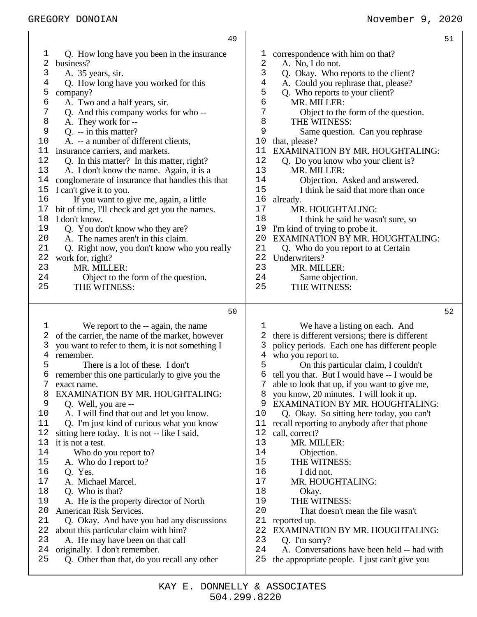|                                                                                                                                           | 49                                                                                                                                                                                                                                                                                                                                                                                                                                                                                                                                                                                                                                                                                                                                                                                                                                              |                                                                                                                                           |                                                                                                                                                                                                                                                                                                                                                                                                                                                                                                                                                                                                                                                                                                                      | 51 |
|-------------------------------------------------------------------------------------------------------------------------------------------|-------------------------------------------------------------------------------------------------------------------------------------------------------------------------------------------------------------------------------------------------------------------------------------------------------------------------------------------------------------------------------------------------------------------------------------------------------------------------------------------------------------------------------------------------------------------------------------------------------------------------------------------------------------------------------------------------------------------------------------------------------------------------------------------------------------------------------------------------|-------------------------------------------------------------------------------------------------------------------------------------------|----------------------------------------------------------------------------------------------------------------------------------------------------------------------------------------------------------------------------------------------------------------------------------------------------------------------------------------------------------------------------------------------------------------------------------------------------------------------------------------------------------------------------------------------------------------------------------------------------------------------------------------------------------------------------------------------------------------------|----|
| 1<br>2<br>3<br>4<br>5<br>6<br>7<br>8<br>9<br>10<br>11<br>12<br>13<br>14<br>15<br>16<br>17<br>18<br>19<br>20<br>21<br>22<br>23<br>24<br>25 | Q. How long have you been in the insurance<br>business?<br>A. 35 years, sir.<br>Q. How long have you worked for this<br>company?<br>A. Two and a half years, sir.<br>Q. And this company works for who --<br>A. They work for --<br>$Q. -i$ in this matter?<br>A. -- a number of different clients,<br>insurance carriers, and markets.<br>Q. In this matter? In this matter, right?<br>A. I don't know the name. Again, it is a<br>conglomerate of insurance that handles this that<br>I can't give it to you.<br>If you want to give me, again, a little<br>bit of time, I'll check and get you the names.<br>I don't know.<br>Q. You don't know who they are?<br>A. The names aren't in this claim.<br>Q. Right now, you don't know who you really<br>work for, right?<br>MR. MILLER:<br>Object to the form of the question.<br>THE WITNESS: | T<br>2<br>3<br>4<br>5<br>6<br>7<br>8<br>9<br>10<br>11<br>12<br>13<br>14<br>15<br>16<br>17<br>18<br>19<br>20<br>21<br>22<br>23<br>24<br>25 | correspondence with him on that?<br>A. No, I do not.<br>Q. Okay. Who reports to the client?<br>A. Could you rephrase that, please?<br>Q. Who reports to your client?<br>MR. MILLER:<br>Object to the form of the question.<br>THE WITNESS:<br>Same question. Can you rephrase<br>that, please?<br>EXAMINATION BY MR. HOUGHTALING:<br>Q. Do you know who your client is?<br>MR. MILLER:<br>Objection. Asked and answered.<br>I think he said that more than once<br>already.<br>MR. HOUGHTALING:<br>I think he said he wasn't sure, so<br>I'm kind of trying to probe it.<br>EXAMINATION BY MR. HOUGHTALING:<br>Q. Who do you report to at Certain<br>Underwriters?<br>MR. MILLER:<br>Same objection.<br>THE WITNESS: |    |
|                                                                                                                                           | 50                                                                                                                                                                                                                                                                                                                                                                                                                                                                                                                                                                                                                                                                                                                                                                                                                                              |                                                                                                                                           |                                                                                                                                                                                                                                                                                                                                                                                                                                                                                                                                                                                                                                                                                                                      | 52 |
| 1<br>2<br>3<br>4<br>5<br>6<br>8<br>9<br>10<br>11<br>12<br>13<br>14<br>15<br>16<br>17<br>18                                                | We report to the -- again, the name<br>of the carrier, the name of the market, however<br>you want to refer to them, it is not something I<br>remember.<br>There is a lot of these. I don't<br>remember this one particularly to give you the<br>exact name.<br>EXAMINATION BY MR. HOUGHTALING:<br>Q. Well, you are --<br>A. I will find that out and let you know.<br>Q. I'm just kind of curious what you know<br>sitting here today. It is not -- like I said,<br>it is not a test.<br>Who do you report to?<br>A. Who do I report to?<br>Q. Yes.<br>A. Michael Marcel.<br>Q. Who is that?                                                                                                                                                                                                                                                   | T<br>2<br>3<br>4<br>5<br>6<br>9<br>10<br>11<br>12<br>13<br>14<br>15<br>16<br>17<br>18                                                     | We have a listing on each. And<br>there is different versions; there is different<br>policy periods. Each one has different people<br>who you report to.<br>On this particular claim, I couldn't<br>tell you that. But I would have -- I would be<br>able to look that up, if you want to give me,<br>you know, 20 minutes. I will look it up.<br>EXAMINATION BY MR. HOUGHTALING:<br>Q. Okay. So sitting here today, you can't<br>recall reporting to anybody after that phone<br>call, correct?<br>MR. MILLER:<br>Objection.<br>THE WITNESS:<br>I did not.<br>MR. HOUGHTALING:<br>Okay.                                                                                                                             |    |
| 19<br>20<br>21<br>22<br>23<br>24<br>25                                                                                                    | A. He is the property director of North<br>American Risk Services.<br>Q. Okay. And have you had any discussions<br>about this particular claim with him?<br>A. He may have been on that call<br>originally. I don't remember.<br>Q. Other than that, do you recall any other                                                                                                                                                                                                                                                                                                                                                                                                                                                                                                                                                                    | 19<br>20<br>21<br>22<br>23<br>24<br>25                                                                                                    | THE WITNESS:<br>That doesn't mean the file wasn't<br>reported up.<br>EXAMINATION BY MR. HOUGHTALING:<br>Q. I'm sorry?<br>A. Conversations have been held -- had with<br>the appropriate people. I just can't give you                                                                                                                                                                                                                                                                                                                                                                                                                                                                                                |    |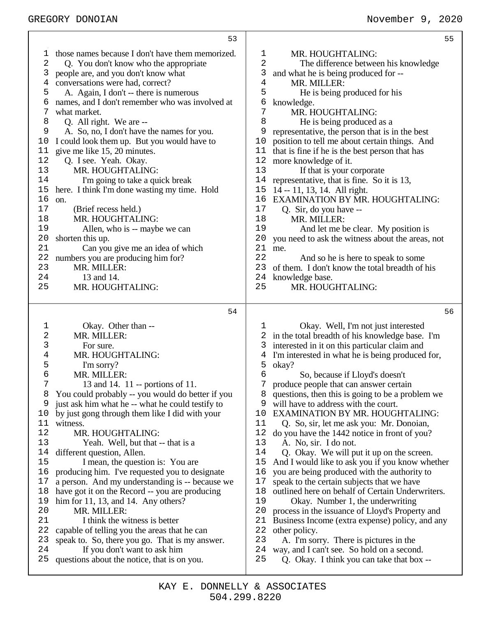|          | 53                                                                                                 |                     | 55                                                                             |
|----------|----------------------------------------------------------------------------------------------------|---------------------|--------------------------------------------------------------------------------|
| 1        | those names because I don't have them memorized.                                                   | $\mathbf{1}$        | MR. HOUGHTALING:                                                               |
| 2        | Q. You don't know who the appropriate                                                              | 2                   | The difference between his knowledge                                           |
| 3        | people are, and you don't know what                                                                | 3                   | and what he is being produced for --                                           |
| 4        | conversations were had, correct?                                                                   | $\overline{4}$      | MR. MILLER:                                                                    |
| 5        | A. Again, I don't -- there is numerous                                                             | 5                   | He is being produced for his                                                   |
| 6<br>7   | names, and I don't remember who was involved at<br>what market.                                    | 6<br>$\overline{7}$ | knowledge.<br>MR. HOUGHTALING:                                                 |
| 8        | Q. All right. We are --                                                                            | 8                   | He is being produced as a                                                      |
| 9        | A. So, no, I don't have the names for you.                                                         | 9                   | representative, the person that is in the best                                 |
| 10       | I could look them up. But you would have to                                                        | 10                  | position to tell me about certain things. And                                  |
| 11       | give me like 15, 20 minutes.                                                                       | 11                  | that is fine if he is the best person that has                                 |
| 12       | Q. I see. Yeah. Okay.                                                                              | 12                  | more knowledge of it.                                                          |
| 13       | MR. HOUGHTALING:                                                                                   | 13                  | If that is your corporate                                                      |
| 14       | I'm going to take a quick break                                                                    | 14                  | representative, that is fine. So it is 13,                                     |
| 15       | here. I think I'm done wasting my time. Hold                                                       | 15                  | 14 -- 11, 13, 14. All right.                                                   |
| 16       | on.                                                                                                | 16                  | <b>EXAMINATION BY MR. HOUGHTALING:</b>                                         |
| 17       | (Brief recess held.)                                                                               | 17                  | Q. Sir, do you have --                                                         |
| 18       | MR. HOUGHTALING:                                                                                   | 18                  | MR. MILLER:                                                                    |
| 19       | Allen, who is -- maybe we can                                                                      | 19                  | And let me be clear. My position is                                            |
| 20<br>21 | shorten this up.<br>Can you give me an idea of which                                               | 20<br>21            | you need to ask the witness about the areas, not<br>me.                        |
| 22       | numbers you are producing him for?                                                                 | 22                  | And so he is here to speak to some                                             |
| 23       | MR. MILLER:                                                                                        | 23                  | of them. I don't know the total breadth of his                                 |
| 24       | 13 and 14.                                                                                         | 24                  | knowledge base.                                                                |
| 25       | MR. HOUGHTALING:                                                                                   | 25                  | MR. HOUGHTALING:                                                               |
|          |                                                                                                    |                     |                                                                                |
|          |                                                                                                    |                     |                                                                                |
|          | 54                                                                                                 |                     | 56                                                                             |
| 1        | Okay. Other than --                                                                                | ı                   | Okay. Well, I'm not just interested                                            |
| 2        | MR. MILLER:                                                                                        |                     | 2 in the total breadth of his knowledge base. I'm                              |
| 3        | For sure.                                                                                          | 3                   | interested in it on this particular claim and                                  |
| 4        | MR. HOUGHTALING:                                                                                   | 4                   | I'm interested in what he is being produced for,                               |
| 5        | I'm sorry?                                                                                         | 5                   | okay?                                                                          |
| 6        | MR. MILLER:                                                                                        | 6                   | So, because if Lloyd's doesn't                                                 |
| 7        | 13 and 14. 11 -- portions of 11.                                                                   | 7                   | produce people that can answer certain                                         |
| 8<br>9   | You could probably -- you would do better if you                                                   | 8<br>9              | questions, then this is going to be a problem we                               |
| 10       | just ask him what he -- what he could testify to<br>by just gong through them like I did with your | 10                  | will have to address with the court.<br><b>EXAMINATION BY MR. HOUGHTALING:</b> |
| 11       | witness.                                                                                           | 11                  | Q. So, sir, let me ask you: Mr. Donoian,                                       |
| 12       | MR. HOUGHTALING:                                                                                   | 12                  | do you have the 1442 notice in front of you?                                   |
| 13       | Yeah. Well, but that -- that is a                                                                  | 13                  | A. No, sir. I do not.                                                          |
| 14       | different question, Allen.                                                                         | 14                  | Q. Okay. We will put it up on the screen.                                      |
| 15       | I mean, the question is: You are                                                                   | 15                  | And I would like to ask you if you know whether                                |
| 16       | producing him. I've requested you to designate                                                     | 16                  | you are being produced with the authority to                                   |
| 17       | a person. And my understanding is -- because we                                                    | 17                  | speak to the certain subjects that we have                                     |
| 18       | have got it on the Record -- you are producing                                                     | 18                  | outlined here on behalf of Certain Underwriters.                               |
| 19       | him for $11$ , $13$ , and $14$ . Any others?                                                       | 19                  | Okay. Number 1, the underwriting                                               |
| 20<br>21 | MR. MILLER:<br>I think the witness is better                                                       | 20<br>21            | process in the issuance of Lloyd's Property and                                |
| 22       | capable of telling you the areas that he can                                                       | 22                  | Business Income (extra expense) policy, and any<br>other policy.               |
| 23       | speak to. So, there you go. That is my answer.                                                     | 23                  | A. I'm sorry. There is pictures in the                                         |
| 24       | If you don't want to ask him                                                                       | 24                  | way, and I can't see. So hold on a second.                                     |
| 25       | questions about the notice, that is on you.                                                        | 25                  | Q. Okay. I think you can take that box --                                      |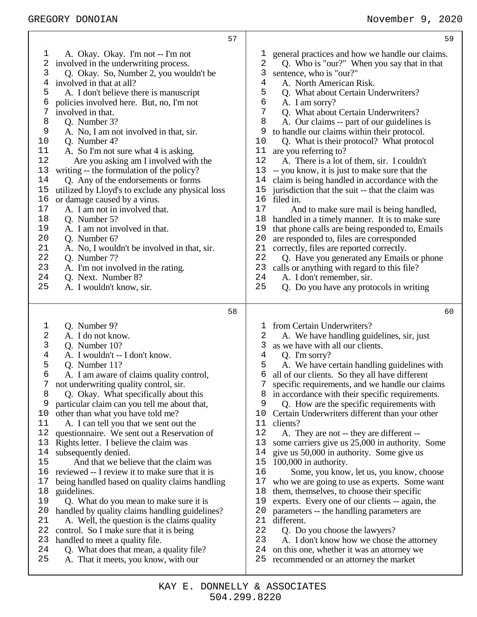| 57                                                                                                                                                                                                                                                                                                                                                                                                                                                                                                                                                                                                                                                                                                                                                                                                                                                                                                                                                                                                                                                                                                                             | 59                                                                                                                                                                                                                                                                                                                                                                                                                                                                                                                                                                                                                                                                                                                                                                                                                                                                                                                                                                                                                                                                                                                                                                                                           |
|--------------------------------------------------------------------------------------------------------------------------------------------------------------------------------------------------------------------------------------------------------------------------------------------------------------------------------------------------------------------------------------------------------------------------------------------------------------------------------------------------------------------------------------------------------------------------------------------------------------------------------------------------------------------------------------------------------------------------------------------------------------------------------------------------------------------------------------------------------------------------------------------------------------------------------------------------------------------------------------------------------------------------------------------------------------------------------------------------------------------------------|--------------------------------------------------------------------------------------------------------------------------------------------------------------------------------------------------------------------------------------------------------------------------------------------------------------------------------------------------------------------------------------------------------------------------------------------------------------------------------------------------------------------------------------------------------------------------------------------------------------------------------------------------------------------------------------------------------------------------------------------------------------------------------------------------------------------------------------------------------------------------------------------------------------------------------------------------------------------------------------------------------------------------------------------------------------------------------------------------------------------------------------------------------------------------------------------------------------|
| A. Okay. Okay. I'm not -- I'm not<br>T<br>2<br>involved in the underwriting process.<br>3<br>Q. Okay. So, Number 2, you wouldn't be<br>involved in that at all?<br>4<br>5<br>A. I don't believe there is manuscript<br>6<br>policies involved here. But, no, I'm not<br>7<br>involved in that.<br>8<br>Q. Number 3?<br>9<br>A. No, I am not involved in that, sir.<br>$10$<br>Q. Number 4?<br>11<br>A. So I'm not sure what 4 is asking.<br>12<br>Are you asking am I involved with the<br>13<br>writing -- the formulation of the policy?<br>14<br>Q. Any of the endorsements or forms<br>$15$<br>utilized by Lloyd's to exclude any physical loss<br>16<br>or damage caused by a virus.<br>$17$<br>A. I am not in involved that.<br>18<br>Q. Number 5?<br>19<br>A. I am not involved in that.<br>20<br>Q. Number 6?<br>21<br>A. No, I wouldn't be involved in that, sir.<br>22<br>Q. Number 7?<br>23<br>A. I'm not involved in the rating.<br>24<br>Q. Next. Number 8?<br>25<br>A. I wouldn't know, sir.                                                                                                                     | general practices and how we handle our claims.<br>1<br>2<br>Q. Who is "our?" When you say that in that<br>3<br>sentence, who is "our?"<br>$\overline{4}$<br>A. North American Risk.<br>5<br>Q. What about Certain Underwriters?<br>б<br>A. I am sorry?<br>7<br>Q. What about Certain Underwriters?<br>8<br>A. Our claims -- part of our guidelines is<br>9<br>to handle our claims within their protocol.<br>Q. What is their protocol? What protocol<br>10<br>11<br>are you referring to?<br>12<br>A. There is a lot of them, sir. I couldn't<br>13<br>-- you know, it is just to make sure that the<br>14<br>claim is being handled in accordance with the<br>15<br>jurisdiction that the suit -- that the claim was<br>16<br>filed in.<br>17<br>And to make sure mail is being handled,<br>18<br>handled in a timely manner. It is to make sure<br>19<br>that phone calls are being responded to, Emails<br>20<br>are responded to, files are corresponded<br>21<br>correctly, files are reported correctly.<br>22<br>Q. Have you generated any Emails or phone<br>23<br>calls or anything with regard to this file?<br>24<br>A. I don't remember, sir.<br>25<br>Q. Do you have any protocols in writing |
| 58                                                                                                                                                                                                                                                                                                                                                                                                                                                                                                                                                                                                                                                                                                                                                                                                                                                                                                                                                                                                                                                                                                                             | 60                                                                                                                                                                                                                                                                                                                                                                                                                                                                                                                                                                                                                                                                                                                                                                                                                                                                                                                                                                                                                                                                                                                                                                                                           |
| Q. Number 9?<br>$\mathbf 1$<br>2<br>A. I do not know.<br>3<br>Q. Number 10?<br>$\overline{4}$<br>A. I wouldn't -- I don't know.<br>5<br>Q. Number 11?<br>6<br>A. I am aware of claims quality control,<br>not underwriting quality control, sir.<br>Q. Okay. What specifically about this<br>8<br>9<br>particular claim can you tell me about that,<br>other than what you have told me?<br>10<br>11<br>A. I can tell you that we sent out the<br>12<br>questionnaire. We sent out a Reservation of<br>Rights letter. I believe the claim was<br>13<br>14<br>subsequently denied.<br>15<br>And that we believe that the claim was<br>reviewed -- I review it to make sure that it is<br>16<br>17<br>being handled based on quality claims handling<br>18<br>guidelines.<br>19<br>Q. What do you mean to make sure it is<br>handled by quality claims handling guidelines?<br>20<br>21<br>A. Well, the question is the claims quality<br>22<br>control. So I make sure that it is being<br>23<br>handled to meet a quality file.<br>24<br>Q. What does that mean, a quality file?<br>25<br>A. That it meets, you know, with our | from Certain Underwriters?<br>1<br>A. We have handling guidelines, sir, just<br>2<br>3<br>as we have with all our clients.<br>$\overline{4}$<br>Q. I'm sorry?<br>5<br>A. We have certain handling guidelines with<br>6<br>all of our clients. So they all have different<br>7<br>specific requirements, and we handle our claims<br>in accordance with their specific requirements.<br>8<br>9<br>Q. How are the specific requirements with<br>Certain Underwriters different than your other<br>10<br>11<br>clients?<br>12<br>A. They are not -- they are different --<br>13<br>some carriers give us 25,000 in authority. Some<br>14<br>give us 50,000 in authority. Some give us<br>15<br>100,000 in authority.<br>16<br>Some, you know, let us, you know, choose<br>17<br>who we are going to use as experts. Some want<br>18<br>them, themselves, to choose their specific<br>19<br>experts. Every one of our clients -- again, the<br>20<br>parameters -- the handling parameters are<br>different.<br>21<br>22<br>Q. Do you choose the lawyers?<br>23<br>A. I don't know how we chose the attorney<br>24<br>on this one, whether it was an attorney we<br>25<br>recommended or an attorney the market  |

Т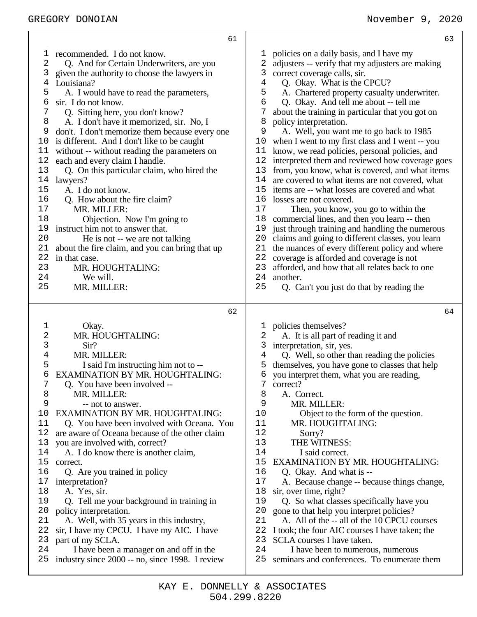61 1 recommended. I do not know.<br>2 O. And for Certain Underw 2 Q. And for Certain Underwriters, are you 3 given the authority to choose the lawyers in 4 Louisiana? 5 A. I would have to read the parameters,  $\begin{matrix}6 & \text{sir. I do not know.} \\7 & \text{O. Sitting here.}\end{matrix}$ 7 Q. Sitting here, you don't know? 8 A. I don't have it memorized, sir. No, I 9 don't. I don't memorize them because every one 10 is different. And I don't like to be caught 11 without -- without reading the parameters on 12 each and every claim I handle. 13 Q. On this particular claim, who hired the 14 lawyers? 15 A. I do not know. 16 Q. How about the fire claim? 17 MR. MILLER:<br>18 Objection. Objection. Now I'm going to 19 instruct him not to answer that. 20 He is not -- we are not talking<br>21 about the fire claim, and you can brin about the fire claim, and you can bring that up 22 in that case. 23 MR. HOUGHTALING: 24 We will.<br>25 MR MILL MR. MILLER:  $62$ 1 Okay. 2 MR. HOUGHTALING: 3 Sir?<br>4 MR. N MR. MILLER: 5 I said I'm instructing him not to -- 6 EXAMINATION BY MR. HOUGHTALING:<br>7 O. You have been involved --0. You have been involved --8 MR. MILLER:<br>9 -- not to ansy -- not to answer. 10 EXAMINATION BY MR. HOUGHTALING: 11 Q. You have been involved with Oceana. You 12 are aware of Oceana because of the other claim 13 you are involved with, correct? 14 A. I do know there is another claim,<br>15 correct. correct. 16 Q. Are you trained in policy 17 interpretation? 18 A. Yes, sir. 19 Q. Tell me your background in training in 20 policy interpretation. 21 A. Well, with 35 years in this industry, 22 sir, I have my CPCU. I have my AIC. I have 23 part of my SCLA. part of my SCLA. 24 I have been a manager on and off in the 25 industry since 2000 -- no, since 1998. I review 63 1 policies on a daily basis, and I have my 2 adjusters -- verify that my adjusters are making 3 correct coverage calls, sir. 4 Q. Okay. What is the CPCU? 5 A. Chartered property casualty underwriter.<br>6 O. Okav. And tell me about -- tell me 6 Q. Okay. And tell me about -- tell me 7 about the training in particular that you got on 8 policy interpretation. 9 A. Well, you want me to go back to 1985 10 when I went to my first class and I went -- you 11 know, we read policies, personal policies, and 12 interpreted them and reviewed how coverage goes 13 from, you know, what is covered, and what items 14 are covered to what items are not covered, what are covered to what items are not covered, what 15 items are -- what losses are covered and what 16 losses are not covered.<br>17 Then, you know. Then, you know, you go to within the 18 commercial lines, and then you learn -- then 19 just through training and handling the numerous 20 claims and going to different classes, you learn 21 the nuances of every different policy and where<br>22 coverage is afforded and coverage is not 22 coverage is afforded and coverage is not<br>23 afforded, and how that all relates back to afforded, and how that all relates back to one 24 another.<br>25 O. Ca 25 Q. Can't you just do that by reading the  $64$ 1 policies themselves? 2 A. It is all part of reading it and 3 interpretation, sir, yes.<br>4 O. Well, so other the 4 Q. Well, so other than reading the policies 5 themselves, you have gone to classes that help 6 you interpret them, what you are reading,  $\frac{7}{2}$  correct? correct? 8 A. Correct.<br>9 MR MII. 9 MR. MILLER:<br>10 Object to the Object to the form of the question. 11 MR. HOUGHTALING:<br>12 Sorry? Sorry? 13 THE WITNESS: 14 I said correct.<br>15 EXAMINATION BY EXAMINATION BY MR. HOUGHTALING: 16 Q. Okay. And what is --<br>17 A. Because change -- bec A. Because change -- because things change, 18 sir, over time, right? 19 Q. So what classes specifically have you 20 gone to that help you interpret policies? 20 gone to that help you interpret policies?<br>21 A. All of the -- all of the 10 CPCU co 21 A. All of the -- all of the 10 CPCU courses<br>22 I took: the four AIC courses I have taken; the 22 I took; the four AIC courses I have taken; the 23 SCLA courses I have taken SCLA courses I have taken. 24 I have been to numerous, numerous 25 seminars and conferences. To enumerate them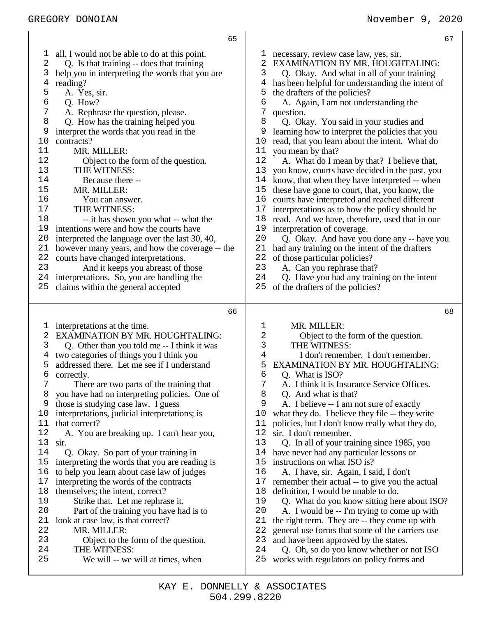|                                                                                                                                             | 65                                                                                                                                                                                                                                                                                                                                                                                                                                                                                                                                                                                                                                                                                                                                                                                                                            | 67                                                                                                                                                                                                                                                                                                                                                                                                                                                                                                                                                                                                                                                                                                                                                                                                                                                                                                                                                                                                                                                                                                                                                                                                                    |
|---------------------------------------------------------------------------------------------------------------------------------------------|-------------------------------------------------------------------------------------------------------------------------------------------------------------------------------------------------------------------------------------------------------------------------------------------------------------------------------------------------------------------------------------------------------------------------------------------------------------------------------------------------------------------------------------------------------------------------------------------------------------------------------------------------------------------------------------------------------------------------------------------------------------------------------------------------------------------------------|-----------------------------------------------------------------------------------------------------------------------------------------------------------------------------------------------------------------------------------------------------------------------------------------------------------------------------------------------------------------------------------------------------------------------------------------------------------------------------------------------------------------------------------------------------------------------------------------------------------------------------------------------------------------------------------------------------------------------------------------------------------------------------------------------------------------------------------------------------------------------------------------------------------------------------------------------------------------------------------------------------------------------------------------------------------------------------------------------------------------------------------------------------------------------------------------------------------------------|
| ı<br>2<br>3<br>4<br>5<br>6<br>7<br>8<br>9<br>$10$<br>11<br>12<br>13<br>14<br>15<br>16<br>17<br>18<br>19<br>20<br>21<br>22<br>23<br>24<br>25 | all, I would not be able to do at this point.<br>Q. Is that training -- does that training<br>help you in interpreting the words that you are<br>reading?<br>A. Yes, sir.<br>Q. How?<br>A. Rephrase the question, please.<br>Q. How has the training helped you<br>interpret the words that you read in the<br>contracts?<br>MR. MILLER:<br>Object to the form of the question.<br>THE WITNESS:<br>Because there --<br>MR. MILLER:<br>You can answer.<br>THE WITNESS:<br>-- it has shown you what -- what the<br>intentions were and how the courts have<br>interpreted the language over the last 30, 40,<br>however many years, and how the coverage -- the<br>courts have changed interpretations.<br>And it keeps you abreast of those<br>interpretations. So, you are handling the<br>claims within the general accepted | necessary, review case law, yes, sir.<br>T<br>2<br>EXAMINATION BY MR. HOUGHTALING:<br>Q. Okay. And what in all of your training<br>3<br>has been helpful for understanding the intent of<br>4<br>the drafters of the policies?<br>5<br>6<br>A. Again, I am not understanding the<br>7<br>question.<br>8<br>Q. Okay. You said in your studies and<br>9<br>learning how to interpret the policies that you<br>read, that you learn about the intent. What do<br>10<br>11<br>you mean by that?<br>12<br>A. What do I mean by that? I believe that,<br>13<br>you know, courts have decided in the past, you<br>14<br>know, that when they have interpreted -- when<br>15<br>these have gone to court, that, you know, the<br>16<br>courts have interpreted and reached different<br>17<br>interpretations as to how the policy should be<br>read. And we have, therefore, used that in our<br>18<br>19<br>interpretation of coverage.<br>20<br>Q. Okay. And have you done any -- have you<br>21<br>had any training on the intent of the drafters<br>22<br>of those particular policies?<br>23<br>A. Can you rephrase that?<br>24<br>Q. Have you had any training on the intent<br>of the drafters of the policies?<br>25 |
|                                                                                                                                             | 66                                                                                                                                                                                                                                                                                                                                                                                                                                                                                                                                                                                                                                                                                                                                                                                                                            | 68                                                                                                                                                                                                                                                                                                                                                                                                                                                                                                                                                                                                                                                                                                                                                                                                                                                                                                                                                                                                                                                                                                                                                                                                                    |
| I,<br>2<br>3<br>4<br>5<br>6<br>7<br>8<br>9<br>10<br>11<br>12<br>13<br>14<br>15<br>16<br>17<br>18<br>19<br>20                                | interpretations at the time.<br><b>EXAMINATION BY MR. HOUGHTALING:</b><br>Q. Other than you told me -- I think it was<br>two categories of things you I think you<br>addressed there. Let me see if I understand<br>correctly.<br>There are two parts of the training that<br>you have had on interpreting policies. One of<br>those is studying case law. I guess<br>interpretations, judicial interpretations; is<br>that correct?<br>A. You are breaking up. I can't hear you,<br>sir.<br>Q. Okay. So part of your training in<br>interpreting the words that you are reading is<br>to help you learn about case law of judges<br>interpreting the words of the contracts<br>themselves; the intent, correct?<br>Strike that. Let me rephrase it.<br>Part of the training you have had is to                               | MR. MILLER:<br>1<br>2<br>Object to the form of the question.<br>THE WITNESS:<br>3<br>I don't remember. I don't remember.<br>4<br>5<br>EXAMINATION BY MR. HOUGHTALING:<br>6<br>Q. What is ISO?<br>7<br>A. I think it is Insurance Service Offices.<br>8<br>Q. And what is that?<br>9<br>A. I believe -- I am not sure of exactly<br>10<br>what they do. I believe they file -- they write<br>policies, but I don't know really what they do,<br>11<br>12<br>sir. I don't remember.<br>13<br>Q. In all of your training since 1985, you<br>14<br>have never had any particular lessons or<br>15<br>instructions on what ISO is?<br>16<br>A. I have, sir. Again, I said, I don't<br>17<br>remember their actual -- to give you the actual<br>18<br>definition, I would be unable to do.<br>19<br>Q. What do you know sitting here about ISO?<br>20<br>A. I would be -- I'm trying to come up with                                                                                                                                                                                                                                                                                                                        |
| 21<br>22<br>23<br>24<br>25                                                                                                                  | look at case law, is that correct?<br>MR. MILLER:<br>Object to the form of the question.<br>THE WITNESS:<br>We will -- we will at times, when                                                                                                                                                                                                                                                                                                                                                                                                                                                                                                                                                                                                                                                                                 | 21<br>the right term. They are -- they come up with<br>22<br>general use forms that some of the carriers use<br>23<br>and have been approved by the states.<br>24<br>Q. Oh, so do you know whether or not ISO<br>25<br>works with regulators on policy forms and                                                                                                                                                                                                                                                                                                                                                                                                                                                                                                                                                                                                                                                                                                                                                                                                                                                                                                                                                      |

ı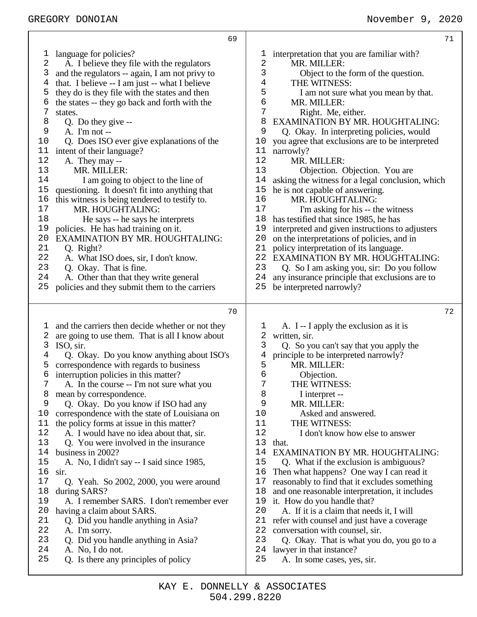| 69                                               | 71                                               |
|--------------------------------------------------|--------------------------------------------------|
| language for policies?                           | 1                                                |
| T                                                | interpretation that you are familiar with?       |
| 2                                                | 2                                                |
| A. I believe they file with the regulators       | MR. MILLER:                                      |
| 3                                                | 3                                                |
| and the regulators -- again, I am not privy to   | Object to the form of the question.              |
| that. I believe -- I am just -- what I believe   | 4                                                |
| 4                                                | THE WITNESS:                                     |
| 5                                                | 5                                                |
| they do is they file with the states and then    | I am not sure what you mean by that.             |
| the states -- they go back and forth with the    | 6                                                |
| 6                                                | MR. MILLER:                                      |
| 7                                                | 7                                                |
| states.                                          | Right. Me, either.                               |
| 8                                                | 8                                                |
| Q. Do they give --                               | <b>EXAMINATION BY MR. HOUGHTALING:</b>           |
| 9                                                | 9                                                |
| A. I'm not --                                    | Q. Okay. In interpreting policies, would         |
| Q. Does ISO ever give explanations of the        | you agree that exclusions are to be interpreted  |
| 10                                               | 10                                               |
| intent of their language?                        | narrowly?                                        |
| 11                                               | 11                                               |
| 12                                               | 12                                               |
| A. They may --                                   | MR. MILLER:                                      |
| 13                                               | 13                                               |
| MR. MILLER:                                      | Objection. Objection. You are                    |
| I am going to object to the line of              | 14                                               |
| 14                                               | asking the witness for a legal conclusion, which |
| 15                                               | 15                                               |
| questioning. It doesn't fit into anything that   | he is not capable of answering.                  |
| 16                                               | 16                                               |
| this witness is being tendered to testify to.    | MR. HOUGHTALING:                                 |
| 17                                               | 17                                               |
| MR. HOUGHTALING:                                 | I'm asking for his -- the witness                |
| 18                                               | 18                                               |
| He says -- he says he interprets                 | has testified that since 1985, he has            |
| policies. He has had training on it.             | 19                                               |
| 19                                               | interpreted and given instructions to adjusters  |
| 20                                               | 20                                               |
| <b>EXAMINATION BY MR. HOUGHTALING:</b>           | on the interpretations of policies, and in       |
| 21                                               | policy interpretation of its language.           |
| Q. Right?                                        | 21                                               |
| 22                                               | <b>EXAMINATION BY MR. HOUGHTALING:</b>           |
| A. What ISO does, sir, I don't know.             | 22                                               |
| 23                                               | 23                                               |
| Q. Okay. That is fine.                           | Q. So I am asking you, sir: Do you follow        |
| 24                                               | 24                                               |
| A. Other than that they write general            | any insurance principle that exclusions are to   |
| policies and they submit them to the carriers    | 25                                               |
| 25                                               | be interpreted narrowly?                         |
| 70                                               | 72                                               |
| and the carriers then decide whether or not they | A. I -- I apply the exclusion as it is           |
| T                                                | 1                                                |
| 2                                                | 2                                                |
| are going to use them. That is all I know about  | written, sir.                                    |
| 3                                                | 3                                                |
| ISO, sir.                                        | Q. So you can't say that you apply the           |
| Q. Okay. Do you know anything about ISO's        | 4                                                |
| 4                                                | principle to be interpreted narrowly?            |
| correspondence with regards to business          | 5                                                |
| 5                                                | MR. MILLER:                                      |
| interruption policies in this matter?            | 6                                                |
| 6                                                | Objection.                                       |
| 7                                                | THE WITNESS:                                     |
| A. In the course -- I'm not sure what you        | 7                                                |
| 8                                                | 8                                                |
| mean by correspondence.                          | I interpret --                                   |
| 9                                                | 9                                                |
| Q. Okay. Do you know if ISO had any              | MR. MILLER:                                      |
| 10                                               | 10                                               |
| correspondence with the state of Louisiana on    | Asked and answered.                              |
| the policy forms at issue in this matter?        | 11                                               |
| 11                                               | THE WITNESS:                                     |
| A. I would have no idea about that, sir.         | 12                                               |
| 12                                               | I don't know how else to answer                  |
| 13                                               | 13                                               |
| Q. You were involved in the insurance            | that.                                            |
| business in 2002?                                | 14                                               |
| 14                                               | <b>EXAMINATION BY MR. HOUGHTALING:</b>           |
| A. No, I didn't say -- I said since 1985,        | 15                                               |
| 15                                               | Q. What if the exclusion is ambiguous?           |
| 16                                               | 16                                               |
| sir.                                             | Then what happens? One way I can read it         |
| 17                                               | reasonably to find that it excludes something    |
| Q. Yeah. So 2002, 2000, you were around          | 17                                               |
| 18                                               | and one reasonable interpretation, it includes   |
| during SARS?                                     | 18                                               |
| A. I remember SARS. I don't remember ever        | it. How do you handle that?                      |
| 19                                               | 19                                               |
| 20                                               | 20                                               |
| having a claim about SARS.                       | A. If it is a claim that needs it, I will        |
| 21                                               | 21                                               |
| Q. Did you handle anything in Asia?              | refer with counsel and just have a coverage      |
| 22                                               | 22                                               |
| A. I'm sorry.                                    | conversation with counsel, sir.                  |
| 23                                               | 23                                               |
| Q. Did you handle anything in Asia?              | Q. Okay. That is what you do, you go to a        |
| 24                                               | 24                                               |
| A. No, I do not.                                 | lawyer in that instance?                         |
| 25                                               | 25                                               |
| Q. Is there any principles of policy             | A. In some cases, yes, sir.                      |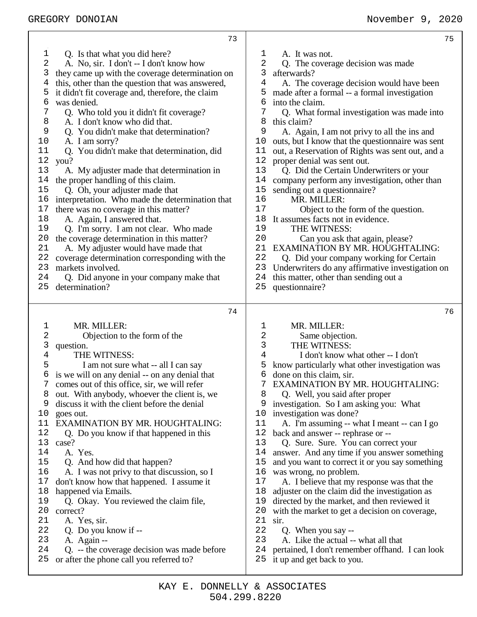|                | 73                                               |        | 75                                               |
|----------------|--------------------------------------------------|--------|--------------------------------------------------|
| 1              | Q. Is that what you did here?                    | ı      | A. It was not.                                   |
| 2              | A. No, sir. I don't -- I don't know how          | 2      | Q. The coverage decision was made                |
| 3              | they came up with the coverage determination on  | 3      | afterwards?                                      |
| 4              | this, other than the question that was answered, | 4      | A. The coverage decision would have been         |
| 5              | it didn't fit coverage and, therefore, the claim | 5      | made after a formal -- a formal investigation    |
| б              | was denied.                                      | 6      | into the claim.                                  |
|                |                                                  |        |                                                  |
| 7<br>8         | Q. Who told you it didn't fit coverage?          | 7<br>8 | Q. What formal investigation was made into       |
| 9              | A. I don't know who did that.                    | 9      | this claim?                                      |
|                | Q. You didn't make that determination?           |        | A. Again, I am not privy to all the ins and      |
| 10             | A. I am sorry?                                   | 10     | outs, but I know that the questionnaire was sent |
| 11             | Q. You didn't make that determination, did       | 11     | out, a Reservation of Rights was sent out, and a |
| $1\,2$         | you?                                             | 12     | proper denial was sent out.                      |
| 13             | A. My adjuster made that determination in        | 13     | Q. Did the Certain Underwriters or your          |
| 14             | the proper handling of this claim.               | 14     | company perform any investigation, other than    |
| 15             | Q. Oh, your adjuster made that                   | 15     | sending out a questionnaire?                     |
| 16             | interpretation. Who made the determination that  | 16     | MR. MILLER:                                      |
| 17             | there was no coverage in this matter?            | 17     | Object to the form of the question.              |
| 18             | A. Again, I answered that.                       | 18     | It assumes facts not in evidence.                |
| 19             | Q. I'm sorry. I am not clear. Who made           | 19     | THE WITNESS:                                     |
| 20             | the coverage determination in this matter?       | 20     | Can you ask that again, please?                  |
| 21             | A. My adjuster would have made that              | 21     | EXAMINATION BY MR. HOUGHTALING:                  |
| 22             | coverage determination corresponding with the    | 22     | Q. Did your company working for Certain          |
| 23             | markets involved.                                | 23     | Underwriters do any affirmative investigation on |
| 24             | Q. Did anyone in your company make that          | 24     | this matter, other than sending out a            |
| 25             | determination?                                   | 25     | questionnaire?                                   |
|                |                                                  |        |                                                  |
|                |                                                  |        |                                                  |
|                | 74                                               |        | 76                                               |
|                |                                                  |        |                                                  |
| 1              | MR. MILLER:                                      | 1      | MR. MILLER:                                      |
| 2              | Objection to the form of the                     | 2      | Same objection.                                  |
| 3              | question.                                        | 3      | THE WITNESS:                                     |
| $\overline{4}$ | THE WITNESS:                                     | 4      | I don't know what other -- I don't               |
| 5              | I am not sure what -- all I can say              | 5      | know particularly what other investigation was   |
| 6              | is we will on any denial -- on any denial that   | 6      | done on this claim, sir.                         |
|                | comes out of this office, sir, we will refer     |        | EXAMINATION BY MR. HOUGHTALING:                  |
| 8              | out. With anybody, whoever the client is, we     | 8      | Q. Well, you said after proper                   |
| 9              | discuss it with the client before the denial     | 9      | investigation. So I am asking you: What          |
| 10             | goes out.                                        | 10     | investigation was done?                          |
| 11             | <b>EXAMINATION BY MR. HOUGHTALING:</b>           | 11     | A. I'm assuming -- what I meant -- can I go      |
| 12             | Q. Do you know if that happened in this          | 12     | back and answer -- rephrase or --                |
| 13             | case?                                            | 13     | Q. Sure. Sure. You can correct your              |
| 14             | A. Yes.                                          | 14     | answer. And any time if you answer something     |
| 15             | Q. And how did that happen?                      | 15     | and you want to correct it or you say something  |
| 16             | A. I was not privy to that discussion, so I      | 16     | was wrong, no problem.                           |
| 17             | don't know how that happened. I assume it        | 17     | A. I believe that my response was that the       |
| 18             | happened via Emails.                             | 18     | adjuster on the claim did the investigation as   |
| 19             | Q. Okay. You reviewed the claim file,            | 19     | directed by the market, and then reviewed it     |
| 20             | correct?                                         | 20     | with the market to get a decision on coverage,   |
| 21             | A. Yes, sir.                                     | 21     | sir.                                             |
| 22             | Q. Do you know if --                             | 22     | Q. When you say --                               |
| 23             | A. Again --                                      | 23     | A. Like the actual -- what all that              |
| 24             | Q. -- the coverage decision was made before      | 24     | pertained, I don't remember of fhand. I can look |
| 25             | or after the phone call you referred to?         | 25     | it up and get back to you.                       |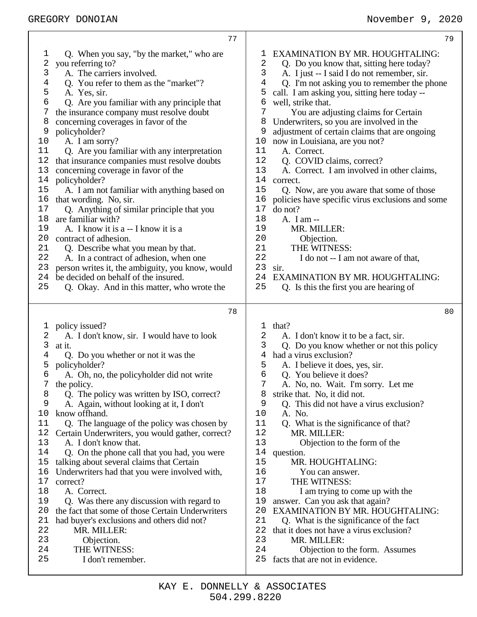| 77                                               | 79                                               |
|--------------------------------------------------|--------------------------------------------------|
| 1                                                | EXAMINATION BY MR. HOUGHTALING:                  |
| Q. When you say, "by the market," who are        | T                                                |
| 2                                                | 2                                                |
| you referring to?                                | Q. Do you know that, sitting here today?         |
| 3                                                | 3                                                |
| A. The carriers involved.                        | A. I just -- I said I do not remember, sir.      |
| 4                                                | 4                                                |
| Q. You refer to them as the "market"?            | Q. I'm not asking you to remember the phone      |
| 5                                                | 5                                                |
| A. Yes, sir.                                     | call. I am asking you, sitting here today --     |
| 6                                                | 6                                                |
| Q. Are you familiar with any principle that      | well, strike that.                               |
| 7                                                | 7                                                |
| the insurance company must resolve doubt         | You are adjusting claims for Certain             |
| concerning coverages in favor of the             | 8                                                |
| 8                                                | Underwriters, so you are involved in the         |
| 9                                                | 9                                                |
| policyholder?                                    | adjustment of certain claims that are ongoing    |
| 10                                               | now in Louisiana, are you not?                   |
| A. I am sorry?                                   | 10                                               |
| 11                                               | 11                                               |
| Q. Are you familiar with any interpretation      | A. Correct.                                      |
| 12                                               | 12                                               |
| that insurance companies must resolve doubts     | Q. COVID claims, correct?                        |
| 13                                               | 13                                               |
| concerning coverage in favor of the              | A. Correct. I am involved in other claims,       |
| 14                                               | 14                                               |
| policyholder?                                    | correct.                                         |
| 15                                               | 15                                               |
| A. I am not familiar with anything based on      | Q. Now, are you aware that some of those         |
| 16                                               | 16                                               |
| that wording. No, sir.                           | policies have specific virus exclusions and some |
| 17                                               | 17                                               |
| Q. Anything of similar principle that you        | do not?                                          |
| are familiar with?                               | 18                                               |
| 18                                               | A. I am --                                       |
| 19                                               | 19                                               |
| A. I know it is a -- I know it is a              | MR. MILLER:                                      |
| 20                                               | 20                                               |
| contract of adhesion.                            | Objection.                                       |
| 21                                               | THE WITNESS:                                     |
| Q. Describe what you mean by that.               | 21                                               |
| 22                                               | 22                                               |
| A. In a contract of adhesion, when one           | I do not -- I am not aware of that,              |
| 23                                               | 23                                               |
| person writes it, the ambiguity, you know, would | sir.                                             |
| 24                                               | 24                                               |
| be decided on behalf of the insured.             | EXAMINATION BY MR. HOUGHTALING:                  |
| 25                                               | 25                                               |
| Q. Okay. And in this matter, who wrote the       | Q. Is this the first you are hearing of          |
| 78                                               | 80                                               |
| policy issued?                                   | that?                                            |
| 1                                                | 1                                                |
| 2                                                | 2                                                |
| A. I don't know, sir. I would have to look       | A. I don't know it to be a fact, sir.            |
| 3                                                | 3                                                |
| at it.                                           | Q. Do you know whether or not this policy        |
| Q. Do you whether or not it was the              | 4                                                |
| 4                                                | had a virus exclusion?                           |
| 5                                                | 5                                                |
| policyholder?                                    | A. I believe it does, yes, sir.                  |
| 6                                                | 6                                                |
| A. Oh, no, the policyholder did not write        | Q. You believe it does?                          |
| 7                                                | 7                                                |
| the policy.                                      | A. No, no. Wait. I'm sorry. Let me               |
| 8                                                | 8                                                |
| Q. The policy was written by ISO, correct?       | strike that. No, it did not.                     |
| 9                                                | 9                                                |
| A. Again, without looking at it, I don't         | Q. This did not have a virus exclusion?          |
| know offhand.                                    | 10                                               |
| 10                                               | A. No.                                           |
| 11                                               | 11                                               |
| Q. The language of the policy was chosen by      | Q. What is the significance of that?             |
| 12                                               | 12                                               |
| Certain Underwriters, you would gather, correct? | MR. MILLER:                                      |
| 13                                               | 13                                               |
| A. I don't know that.                            | Objection to the form of the                     |
| 14                                               | 14                                               |
| Q. On the phone call that you had, you were      | question.                                        |
| 15                                               | 15                                               |
| talking about several claims that Certain        | MR. HOUGHTALING:                                 |
| Underwriters had that you were involved with,    | 16                                               |
| 16                                               | You can answer.                                  |
| 17                                               | 17                                               |
| correct?                                         | THE WITNESS:                                     |
| 18                                               | 18                                               |
| A. Correct.                                      | I am trying to come up with the                  |
| 19                                               | 19                                               |
| Q. Was there any discussion with regard to       | answer. Can you ask that again?                  |
| 20                                               | 20                                               |
| the fact that some of those Certain Underwriters | <b>EXAMINATION BY MR. HOUGHTALING:</b>           |
| 21                                               | 21                                               |
| had buyer's exclusions and others did not?       | Q. What is the significance of the fact          |
| 22                                               | 22                                               |
| MR. MILLER:                                      | that it does not have a virus exclusion?         |
| 23                                               | 23                                               |
| Objection.                                       | MR. MILLER:                                      |
| 24                                               | 24                                               |
| THE WITNESS:                                     | Objection to the form. Assumes                   |
| 25                                               | 25                                               |
| I don't remember.                                | facts that are not in evidence.                  |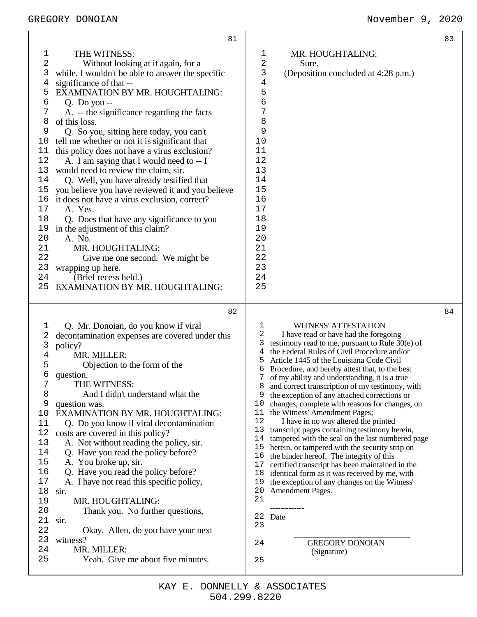## GREGORY DONOIAN November 9, 2020

|        | 81                                               |                                                                                                         | 83 |
|--------|--------------------------------------------------|---------------------------------------------------------------------------------------------------------|----|
| 1      | THE WITNESS:                                     | MR. HOUGHTALING:<br>ı                                                                                   |    |
| 2      | Without looking at it again, for a               | 2<br>Sure.                                                                                              |    |
| 3      | while, I wouldn't be able to answer the specific | 3<br>(Deposition concluded at 4:28 p.m.)                                                                |    |
| 4      | significance of that --                          | 4                                                                                                       |    |
| 5      | EXAMINATION BY MR. HOUGHTALING:                  | 5                                                                                                       |    |
| 6      | Q. Do you $-$                                    | б                                                                                                       |    |
| 7      | A. -- the significance regarding the facts       | 7                                                                                                       |    |
| 8      | of this loss.                                    | 8                                                                                                       |    |
| 9      | Q. So you, sitting here today, you can't         | 9                                                                                                       |    |
| 10     | tell me whether or not it is significant that    | 10                                                                                                      |    |
| 11     | this policy does not have a virus exclusion?     | 11                                                                                                      |    |
| 12     | A. I am saying that I would need to -- I         | 12                                                                                                      |    |
| 13     | would need to review the claim, sir.             | 13                                                                                                      |    |
| 14     | Q. Well, you have already testified that         | 14                                                                                                      |    |
| 15     | you believe you have reviewed it and you believe | 15                                                                                                      |    |
| 16     | it does not have a virus exclusion, correct?     | 16                                                                                                      |    |
| 17     | A. Yes.                                          | 17                                                                                                      |    |
| 18     | Q. Does that have any significance to you        | 18                                                                                                      |    |
| 19     | in the adjustment of this claim?                 | 19                                                                                                      |    |
| 20     | A. No.                                           | 20                                                                                                      |    |
| 21     | MR. HOUGHTALING:                                 | 21                                                                                                      |    |
| 22     | Give me one second. We might be                  | 22                                                                                                      |    |
| 23     | wrapping up here.                                | 23                                                                                                      |    |
| 24     | (Brief recess held.)                             | 24                                                                                                      |    |
| 25     | EXAMINATION BY MR. HOUGHTALING:                  | 25                                                                                                      |    |
|        |                                                  |                                                                                                         |    |
|        |                                                  |                                                                                                         |    |
|        | 82                                               |                                                                                                         | 84 |
|        |                                                  | 1                                                                                                       |    |
| 1      | Q. Mr. Donoian, do you know if viral             | <b>WITNESS' ATTESTATION</b><br>2<br>I have read or have had the foregoing                               |    |
| 2      | decontamination expenses are covered under this  | testimony read to me, pursuant to Rule $30(e)$ of<br>3                                                  |    |
| 3<br>4 | policy?                                          | the Federal Rules of Civil Procedure and/or<br>4                                                        |    |
| 5      | MR. MILLER:                                      | Article 1445 of the Louisiana Code Civil<br>5                                                           |    |
| б      | Objection to the form of the<br>question.        | Procedure, and hereby attest that, to the best                                                          |    |
| 7      | THE WITNESS:                                     | of my ability and understanding, it is a true<br>7                                                      |    |
| 8      | And I didn't understand what the                 | 8 and correct transcription of my testimony, with<br>9                                                  |    |
| 9      | question was.                                    | the exception of any attached corrections or<br>changes, complete with reasons for changes, on<br>10    |    |
| 10     | EXAMINATION BY MR. HOUGHTALING:                  | the Witness' Amendment Pages;<br>11                                                                     |    |
| 11     | Q. Do you know if viral decontamination          | 12<br>I have in no way altered the printed                                                              |    |
| 12     | costs are covered in this policy?                | 13<br>transcript pages containing testimony herein,                                                     |    |
| 13     | A. Not without reading the policy, sir.          | 14<br>tampered with the seal on the last numbered page                                                  |    |
| 14     | Q. Have you read the policy before?              | 15<br>herein, or tampered with the security strip on                                                    |    |
| 15     | A. You broke up, sir.                            | 16<br>the binder hereof. The integrity of this<br>17<br>certified transcript has been maintained in the |    |
| 16     | Q. Have you read the policy before?              | identical form as it was received by me, with<br>18                                                     |    |
| 17     | A. I have not read this specific policy,         | the exception of any changes on the Witness'<br>19                                                      |    |
| 18     | sir.                                             | 20<br>Amendment Pages.                                                                                  |    |
| 19     | MR. HOUGHTALING:                                 | 21                                                                                                      |    |
| 20     | Thank you. No further questions,                 |                                                                                                         |    |
| 21     | sir.                                             | 22 Date                                                                                                 |    |
| 22     | Okay. Allen, do you have your next               | 23                                                                                                      |    |
| 23     | witness?                                         | <b>GREGORY DONOIAN</b><br>24                                                                            |    |
| 24     | MR. MILLER:                                      | (Signature)                                                                                             |    |
| 25     | Yeah. Give me about five minutes.                | 25                                                                                                      |    |

Τ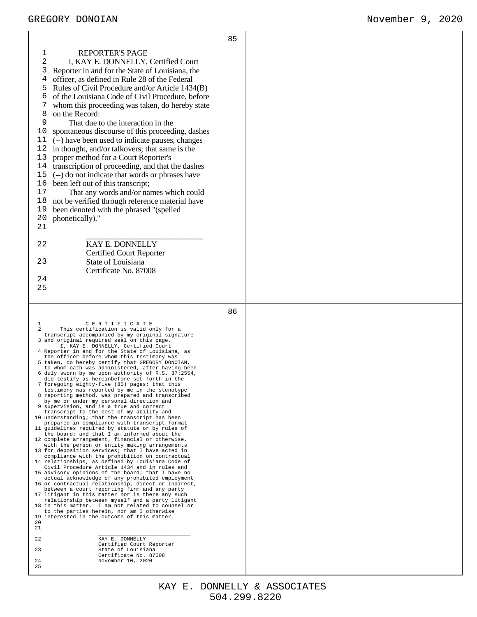$\overline{\mathbf{1}}$ 

|                                                                                                                                                                                                                                                                                                                                                                                                                                                                                                                                                                                                                                                                                                                                                                                                                                                                                                                                                                                                                                                                                                                                                                                                                                                                                                                                                                                                                                                                                                                                                                                                                                                                                                                                                                                                                                                                                                                                                                                      | 85 |  |
|--------------------------------------------------------------------------------------------------------------------------------------------------------------------------------------------------------------------------------------------------------------------------------------------------------------------------------------------------------------------------------------------------------------------------------------------------------------------------------------------------------------------------------------------------------------------------------------------------------------------------------------------------------------------------------------------------------------------------------------------------------------------------------------------------------------------------------------------------------------------------------------------------------------------------------------------------------------------------------------------------------------------------------------------------------------------------------------------------------------------------------------------------------------------------------------------------------------------------------------------------------------------------------------------------------------------------------------------------------------------------------------------------------------------------------------------------------------------------------------------------------------------------------------------------------------------------------------------------------------------------------------------------------------------------------------------------------------------------------------------------------------------------------------------------------------------------------------------------------------------------------------------------------------------------------------------------------------------------------------|----|--|
| <b>REPORTER'S PAGE</b><br>1<br>2<br>I, KAY E. DONNELLY, Certified Court<br>3<br>Reporter in and for the State of Louisiana, the<br>4<br>officer, as defined in Rule 28 of the Federal<br>Rules of Civil Procedure and/or Article 1434(B)<br>5<br>6<br>of the Louisiana Code of Civil Procedure, before<br>whom this proceeding was taken, do hereby state<br>8<br>on the Record:<br>9<br>That due to the interaction in the<br>spontaneous discourse of this proceeding, dashes<br>10<br>11<br>(--) have been used to indicate pauses, changes<br>in thought, and/or talkovers; that same is the<br>12<br>proper method for a Court Reporter's<br>13<br>transcription of proceeding, and that the dashes<br>14<br>15<br>(--) do not indicate that words or phrases have<br>16<br>been left out of this transcript;<br>17<br>That any words and/or names which could<br>not be verified through reference material have<br>18<br>been denoted with the phrased "(spelled<br>19<br>phonetically)."<br>20<br>21<br>KAY E. DONNELLY<br>22<br><b>Certified Court Reporter</b><br>23<br>State of Louisiana<br>Certificate No. 87008<br>24<br>25                                                                                                                                                                                                                                                                                                                                                                                                                                                                                                                                                                                                                                                                                                                                                                                                                                            |    |  |
|                                                                                                                                                                                                                                                                                                                                                                                                                                                                                                                                                                                                                                                                                                                                                                                                                                                                                                                                                                                                                                                                                                                                                                                                                                                                                                                                                                                                                                                                                                                                                                                                                                                                                                                                                                                                                                                                                                                                                                                      |    |  |
| CERTIFICATE<br>1<br>$\mathcal{L}$<br>This certification is valid only for a<br>transcript accompanied by my original signature<br>3 and original required seal on this page.<br>I, KAY E. DONNELLY, Certified Court<br>4 Reporter in and for the State of Louisiana, as<br>the officer before whom this testimony was<br>5 taken, do hereby certify that GREGORY DONOIAN,<br>to whom oath was administered, after having been<br>6 duly sworn by me upon authority of R.S. 37:2554,<br>did testify as hereinbefore set forth in the<br>7 foregoing eighty-five (85) pages; that this<br>testimony was reported by me in the stenotype<br>8 reporting method, was prepared and transcribed<br>by me or under my personal direction and<br>9 supervision, and is a true and correct<br>transcript to the best of my ability and<br>10 understanding; that the transcript has been<br>prepared in compliance with transcript format<br>11 quidelines required by statute or by rules of<br>the board; and that I am informed about the<br>12 complete arrangement, financial or otherwise,<br>with the person or entity making arrangements<br>13 for deposition services; that I have acted in<br>compliance with the prohibition on contractual<br>14 relationships, as defined by Louisiana Code of<br>Civil Procedure Article 1434 and in rules and<br>15 advisory opinions of the board; that I have no<br>actual acknowledge of any prohibited employment<br>16 or contractual relationship, direct or indirect,<br>between a court reporting firm and any party<br>17 litigant in this matter nor is there any such<br>relationship between myself and a party litigant<br>18 in this matter. I am not related to counsel or<br>to the parties herein, nor am I otherwise<br>19 interested in the outcome of this matter.<br>20<br>21<br>KAY E. DONNELLY<br>22<br>Certified Court Reporter<br>State of Louisiana<br>23<br>Certificate No. 87008<br>November 10, 2020<br>24<br>25 | 86 |  |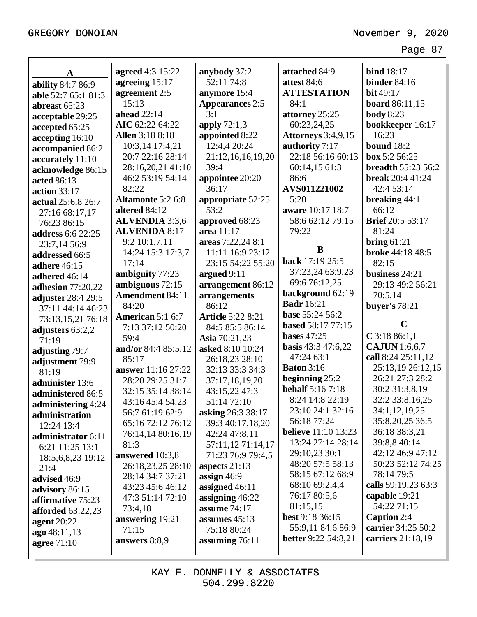| $\mathbf A$              | agreed 4:3 15:22         | anybody 37:2             | attached 84:9              | <b>bind</b> 18:17         |
|--------------------------|--------------------------|--------------------------|----------------------------|---------------------------|
| ability 84:7 86:9        | agreeing 15:17           | 52:11 74:8               | attest 84:6                | <b>binder</b> 84:16       |
| able 52:7 65:1 81:3      | agreement 2:5            | anymore 15:4             | <b>ATTESTATION</b>         | bit 49:17                 |
| abreast 65:23            | 15:13                    | <b>Appearances 2:5</b>   | 84:1                       | <b>board</b> 86:11,15     |
| acceptable 29:25         | <b>ahead</b> 22:14       | 3:1                      | attorney 25:25             | <b>body</b> 8:23          |
| accepted 65:25           | AIC 62:22 64:22          | apply $72:1,3$           | 60:23,24,25                | bookkeeper 16:17          |
| accepting 16:10          | <b>Allen</b> 3:18 8:18   | appointed 8:22           | <b>Attorneys</b> 3:4,9,15  | 16:23                     |
| accompanied 86:2         | 10:3,14 17:4,21          | 12:4,4 20:24             | authority 7:17             | <b>bound</b> 18:2         |
| accurately 11:10         | 20:7 22:16 28:14         | 21:12,16,16,19,20        | 22:18 56:16 60:13          | box 5:2 56:25             |
| acknowledge 86:15        | 28:16,20,21 41:10        | 39:4                     | 60:14,15 61:3              | <b>breadth 55:23 56:2</b> |
| acted 86:13              | 46:2 53:19 54:14         | appointee 20:20          | 86:6                       | <b>break</b> 20:4 41:24   |
| <b>action</b> 33:17      | 82:22                    | 36:17                    | AVS011221002               | 42:4 53:14                |
| actual 25:6,8 26:7       | <b>Altamonte 5:2 6:8</b> | appropriate 52:25        | 5:20                       | breaking 44:1             |
| 27:16 68:17,17           | altered 84:12            | 53:2                     | aware 10:17 18:7           | 66:12                     |
| 76:23 86:15              | <b>ALVENDIA</b> 3:3,6    | approved 68:23           | 58:6 62:12 79:15           | <b>Brief</b> 20:5 53:17   |
| address 6:6 22:25        | <b>ALVENIDA 8:17</b>     | area 11:17               | 79:22                      | 81:24                     |
| 23:7,14 56:9             | 9:2 10:1,7,11            | areas 7:22,24 8:1        |                            | bring $61:21$             |
| addressed 66:5           | 14:24 15:3 17:3,7        | 11:11 16:9 23:12         | B                          | <b>broke</b> 44:18 48:5   |
| adhere 46:15             | 17:14                    | 23:15 54:22 55:20        | back 17:19 25:5            | 82:15                     |
| adhered 46:14            | ambiguity 77:23          | argued 9:11              | 37:23,24 63:9,23           | business 24:21            |
| <b>adhesion</b> 77:20,22 | ambiguous 72:15          | arrangement 86:12        | 69:6 76:12,25              | 29:13 49:2 56:21          |
| adjuster 28:4 29:5       | <b>Amendment 84:11</b>   | arrangements             | background 62:19           | 70:5,14                   |
| 37:11 44:14 46:23        | 84:20                    | 86:12                    | <b>Badr</b> 16:21          | buyer's 78:21             |
| 73:13,15,21 76:18        | American 5:1 6:7         | <b>Article 5:22 8:21</b> | base 55:24 56:2            |                           |
| adjusters 63:2,2         | 7:13 37:12 50:20         | 84:5 85:5 86:14          | based 58:17 77:15          | $\mathbf C$               |
| 71:19                    | 59:4                     | Asia 70:21,23            | <b>bases</b> 47:25         | $C$ 3:18 86:1,1           |
| adjusting 79:7           | and/or 84:4 85:5,12      | asked 8:10 10:24         | <b>basis</b> 43:3 47:6,22  | <b>CAJUN</b> 1:6,6,7      |
| adjustment 79:9          | 85:17                    | 26:18,23 28:10           | 47:24 63:1                 | call 8:24 25:11,12        |
| 81:19                    | answer 11:16 27:22       | 32:13 33:3 34:3          | <b>Baton</b> 3:16          | 25:13,19 26:12,15         |
| administer 13:6          | 28:20 29:25 31:7         | 37:17,18,19,20           | beginning 25:21            | 26:21 27:3 28:2           |
| administered 86:5        | 32:15 35:14 38:14        | 43:15,22 47:3            | <b>behalf</b> 5:16 7:18    | 30:2 31:3,8,19            |
| administering 4:24       | 43:16 45:4 54:23         | 51:14 72:10              | 8:24 14:8 22:19            | 32:2 33:8,16,25           |
| administration           | 56:7 61:19 62:9          | asking 26:3 38:17        | 23:10 24:1 32:16           | 34:1,12,19,25             |
| 12:24 13:4               | 65:16 72:12 76:12        | 39:3 40:17,18,20         | 56:18 77:24                | 35:8,20,25 36:5           |
| administrator 6:11       | 76:14,14 80:16,19        | 42:24 47:8,11            | <b>believe</b> 11:10 13:23 | 36:18 38:3,21             |
| 6:21 11:25 13:1          | 81:3                     | 57:11,12 71:14,17        | 13:24 27:14 28:14          | 39:8,8 40:14              |
| 18:5,6,8,23 19:12        | answered 10:3,8          | 71:23 76:9 79:4,5        | 29:10,23 30:1              | 42:12 46:9 47:12          |
| 21:4                     | 26:18,23,25 28:10        | aspects $21:13$          | 48:20 57:5 58:13           | 50:23 52:12 74:25         |
| advised 46:9             | 28:14 34:7 37:21         | assign $46:9$            | 58:15 67:12 68:9           | 78:14 79:5                |
| advisory 86:15           | 43:23 45:6 46:12         | assigned 46:11           | 68:10 69:2,4,4             | calls 59:19,23 63:3       |
| affirmative 75:23        | 47:3 51:14 72:10         | assigning 46:22          | 76:17 80:5,6               | capable 19:21             |
| <b>afforded</b> 63:22,23 | 73:4,18                  | assume 74:17             | 81:15,15                   | 54:22 71:15               |
| agent 20:22              | answering 19:21          | assumes $45:13$          | <b>best</b> 9:18 36:15     | Caption 2:4               |
| ago 48:11,13             | 71:15                    | 75:18 80:24              | 55:9,11 84:6 86:9          | carrier 34:25 50:2        |
| agree 71:10              | answers 8:8,9            | assuming 76:11           | <b>better</b> 9:22 54:8,21 | carriers 21:18,19         |
|                          |                          |                          |                            |                           |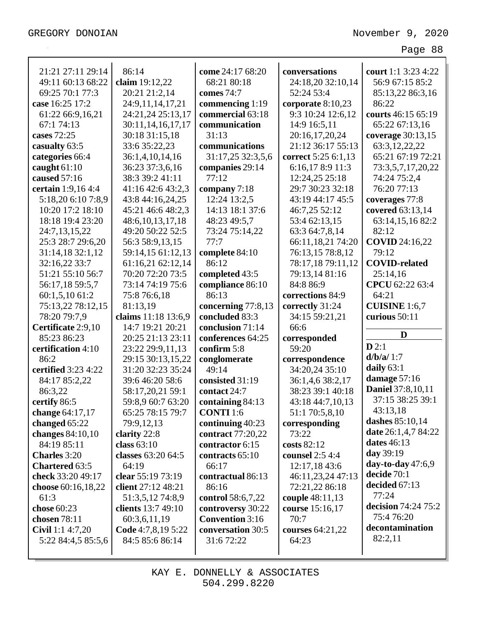| 21:21 27:11 29:14                      | 86:14                                 | come 24:17 68:20                            | conversations             | court 1:1 3:23 4:22        |
|----------------------------------------|---------------------------------------|---------------------------------------------|---------------------------|----------------------------|
| 49:11 60:13 68:22                      | claim 19:12,22                        | 68:21 80:18                                 | 24:18,20 32:10,14         | 56:9 67:15 85:2            |
| 69:25 70:1 77:3                        | 20:21 21:2,14                         | comes 74:7                                  | 52:24 53:4                | 85:13,22 86:3,16           |
| case 16:25 17:2                        | 24:9,11,14,17,21                      | commencing 1:19                             | corporate $8:10,23$       | 86:22                      |
| 61:22 66:9,16,21                       | 24:21,24 25:13,17                     | commercial 63:18                            | 9:3 10:24 12:6,12         | courts 46:15 65:19         |
| 67:1 74:13                             | 30:11,14,16,17,17                     | communication                               | 14:9 16:5,11              | 65:22 67:13,16             |
| cases 72:25                            | 30:18 31:15,18                        | 31:13                                       | 20:16,17,20,24            | coverage 30:13,15          |
| casualty 63:5                          | 33:6 35:22,23                         | communications                              | 21:12 36:17 55:13         | 63:3,12,22,22              |
| categories 66:4                        | 36:1,4,10,14,16                       | 31:17,25 32:3,5,6                           | correct 5:25 6:1,13       | 65:21 67:19 72:21          |
| caught $61:10$                         | 36:23 37:3,6,16                       | companies 29:14                             | 6:16,178:911:3            | 73:3,5,7,17,20,22          |
| caused 57:16                           | 38:3 39:2 41:11                       | 77:12                                       | 12:24,25 25:18            | 74:24 75:2,4               |
| certain 1:9,16 4:4                     | 41:16 42:6 43:2,3                     | company 7:18                                | 29:7 30:23 32:18          | 76:20 77:13                |
| 5:18,20 6:10 7:8,9                     | 43:8 44:16,24,25                      | 12:24 13:2,5                                | 43:19 44:17 45:5          | coverages 77:8             |
| 10:20 17:2 18:10                       | 45:21 46:6 48:2,3                     | 14:13 18:1 37:6                             | 46:7,25 52:12             | covered 63:13,14           |
| 18:18 19:4 23:20                       | 48:6, 10, 13, 17, 18                  | 48:23 49:5,7                                | 53:4 62:13,15             | 63:14,15,16 82:2           |
| 24:7,13,15,22                          | 49:20 50:22 52:5                      | 73:24 75:14,22                              | 63:3 64:7,8,14            | 82:12                      |
| 25:3 28:7 29:6,20                      | 56:3 58:9,13,15                       | 77:7                                        | 66:11,18,21 74:20         | <b>COVID</b> 24:16,22      |
| 31:14,18 32:1,12                       | 59:14,15 61:12,13                     | complete 84:10                              | 76:13,15 78:8,12          | 79:12                      |
| 32:16,22 33:7                          | 61:16,21 62:12,14                     | 86:12                                       | 78:17,18 79:11,12         | <b>COVID-related</b>       |
| 51:21 55:10 56:7                       | 70:20 72:20 73:5                      | completed 43:5                              | 79:13,14 81:16            | 25:14,16                   |
| 56:17,18 59:5,7                        | 73:14 74:19 75:6                      | compliance 86:10                            | 84:8 86:9                 | CPCU 62:22 63:4            |
| 60:1,5,10 61:2                         | 75:8 76:6,18                          | 86:13                                       | corrections 84:9          | 64:21                      |
| 75:13,22 78:12,15                      | 81:13,19                              | concerning 77:8,13                          | correctly 31:24           | <b>CUISINE</b> 1:6,7       |
|                                        |                                       |                                             |                           |                            |
|                                        |                                       |                                             |                           |                            |
| 78:20 79:7,9                           | claims 11:18 13:6,9                   | concluded 83:3                              | 34:15 59:21,21            | curious 50:11              |
| Certificate 2:9,10                     | 14:7 19:21 20:21                      | conclusion 71:14                            | 66:6                      | D                          |
| 85:23 86:23                            | 20:25 21:13 23:11                     | conferences 64:25                           | corresponded              | D2:1                       |
| certification 4:10                     | 23:22 29:9,11,13                      | confirm 5:8                                 | 59:20                     | d/b/a/1:7                  |
| 86:2                                   | 29:15 30:13,15,22                     | conglomerate                                | correspondence            | daily $63:1$               |
| certified 3:23 4:22                    | 31:20 32:23 35:24                     | 49:14                                       | 34:20,24 35:10            | damage 57:16               |
| 84:17 85:2,22                          | 39:6 46:20 58:6                       | consisted 31:19                             | 36:1,4,6 38:2,17          | <b>Daniel</b> 37:8,10,11   |
| 86:3,22                                | 58:17,20,21 59:1                      | contact 24:7                                | 38:23 39:1 40:18          | 37:15 38:25 39:1           |
| certify 86:5                           | 59:8,9 60:7 63:20                     | containing 84:13                            | 43:18 44:7,10,13          | 43:13,18                   |
| change 64:17,17                        | 65:25 78:15 79:7                      | <b>CONTI</b> 1:6                            | 51:1 70:5,8,10            | dashes 85:10,14            |
| changed 65:22                          | 79:9,12,13                            | continuing $40:23$                          | corresponding             | <b>date</b> 26:1,4,7 84:22 |
| changes 84:10,10                       | clarity 22:8                          | contract 77:20,22                           | 73:22                     | dates 46:13                |
| 84:19 85:11                            | class $63:10$                         | contractor 6:15                             | costs 82:12               | day 39:19                  |
| <b>Charles</b> 3:20                    | classes 63:20 64:5                    | contracts 65:10                             | counsel 2:5 4:4           | day-to-day $47:6,9$        |
| <b>Chartered 63:5</b>                  | 64:19                                 | 66:17                                       | 12:17,18 43:6             | decide 70:1                |
| check 33:20 49:17                      | clear 55:19 73:19                     | contractual 86:13                           | 46:11,23,24 47:13         | decided 67:13              |
| choose 60:16,18,22                     | client 27:12 48:21                    | 86:16                                       | 72:21,22 86:18            | 77:24                      |
| 61:3                                   | 51:3,5,12 74:8,9                      | control 58:6,7,22                           | couple 48:11,13           | decision 74:24 75:2        |
| chose 60:23<br>chosen 78:11            | clients 13:7 49:10                    | controversy 30:22<br><b>Convention</b> 3:16 | course 15:16,17<br>70:7   | 75:4 76:20                 |
|                                        | 60:3,6,11,19                          | conversation 30:5                           |                           | decontamination            |
| Civil 1:1 4:7,20<br>5:22 84:4,5 85:5,6 | Code 4:7,8,19 5:22<br>84:5 85:6 86:14 | 31:6 72:22                                  | courses 64:21,22<br>64:23 | 82:2,11                    |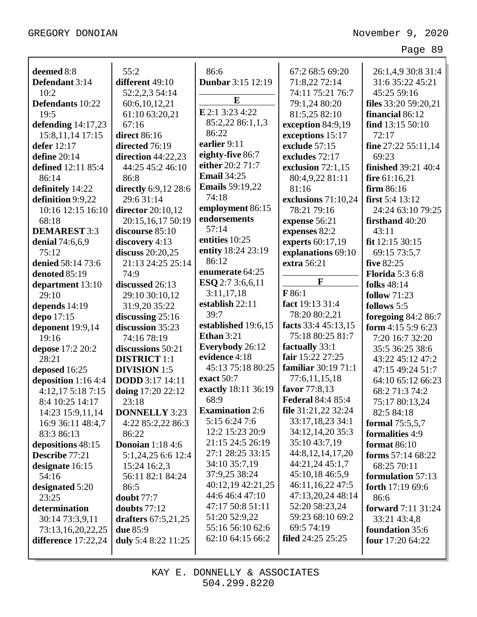| deemed 8:8             | 55:2                    | 86:6                                 | 67:2 68:5 69:20                     | 26:1,4,9 30:8 31:4         |
|------------------------|-------------------------|--------------------------------------|-------------------------------------|----------------------------|
| Defendant 3:14         | different 49:10         | <b>Dunbar</b> 3:15 12:19             | 71:8,22 72:14                       | 31:6 35:22 45:21           |
| 10:2                   | 52:2,2,3 54:14          |                                      | 74:11 75:21 76:7                    | 45:25 59:16                |
| Defendants 10:22       | 60:6,10,12,21           | ${\bf E}$                            | 79:1,24 80:20                       | files $33:20$ 59:20,21     |
| 19:5                   | 61:10 63:20,21          | E 2:1 3:23 4:22                      | 81:5,25 82:10                       | financial 86:12            |
| defending $14:17,23$   | 67:16                   | 85:2,22 86:1,1,3                     | exception 84:9,19                   | find 13:15 50:10           |
| 15:8, 11, 14 17:15     | <b>direct</b> 86:16     | 86:22                                | exceptions 15:17                    | 72:17                      |
| defer 12:17            | directed 76:19          | earlier 9:11                         | exclude 57:15                       | fine $27:22$ 55:11,14      |
| define 20:14           | direction $44:22,23$    | eighty-five 86:7                     | excludes 72:17                      | 69:23                      |
| defined 12:11 85:4     | 44:25 45:2 46:10        | either 20:2 71:7                     | exclusion $72:1,15$                 | <b>finished</b> 39:21 40:4 |
| 86:14                  | 86:8                    | <b>Email 34:25</b>                   | 80:4,9,22 81:11                     | fire $61:16,21$            |
| definitely 14:22       | directly 6:9,12 28:6    | <b>Emails</b> 59:19,22               | 81:16                               | firm $86:16$               |
| definition 9:9,22      | 29:6 31:14              | 74:18                                | exclusions 71:10,24                 | first $5:4$ 13:12          |
| 10:16 12:15 16:10      | director 20:10,12       | employment 86:15                     | 78:21 79:16                         | 24:24 63:10 79:25          |
| 68:18                  | 20:15,16,17 50:19       | endorsements                         | expense 56:21                       | firsthand 40:20            |
| <b>DEMAREST 3:3</b>    | discourse 85:10         | 57:14                                | expenses 82:2                       | 43:11                      |
| <b>denial</b> 74:6,6,9 | discovery 4:13          | entities 10:25                       | experts 60:17,19                    | fit 12:15 30:15            |
| 75:12                  | discuss 20:20,25        | entity 18:24 23:19                   | explanations 69:10                  | 69:15 73:5,7               |
| denied 58:14 73:6      | 21:13 24:25 25:14       | 86:12                                | extra 56:21                         | five 82:25                 |
| denoted 85:19          | 74:9                    | enumerate 64:25                      |                                     | <b>Florida</b> 5:3 6:8     |
| department 13:10       | discussed 26:13         | ESQ 2:7 3:6,6,11                     | $\mathbf{F}$                        | <b>folks</b> 48:14         |
| 29:10                  | 29:10 30:10,12          | 3:11,17,18                           | F 86:1                              | <b>follow</b> 71:23        |
| depends 14:19          | 31:9,20 35:22           | establish 22:11                      | fact 19:13 31:4                     | follows 5:5                |
| depo 17:15             | discussing $25:16$      | 39:7                                 | 78:20 80:2,21                       | foregoing $84:286:7$       |
| deponent 19:9,14       | discussion 35:23        | established 19:6,15                  | facts 33:4 45:13,15                 | form 4:15 5:9 6:23         |
| 19:16                  | 74:16 78:19             | <b>Ethan</b> 3:21                    | 75:18 80:25 81:7                    | 7:20 16:7 32:20            |
| depose 17:2 20:2       | discussions 50:21       | Everybody 26:12                      | factually 33:1                      | 35:5 36:25 38:6            |
| 28:21                  | <b>DISTRICT</b> 1:1     | evidence 4:18                        | fair 15:22 27:25                    | 43:22 45:12 47:2           |
| deposed 16:25          | <b>DIVISION 1:5</b>     | 45:13 75:18 80:25                    | familiar 30:19 71:1                 | 47:15 49:24 51:7           |
| deposition 1:16 4:4    | <b>DODD</b> 3:17 14:11  | exact 50:7                           | 77:6,11,15,18                       | 64:10 65:12 66:23          |
| 4:12,17 5:18 7:15      | doing 17:20 22:12       | exactly 18:11 36:19                  | favor 77:8,13                       | 68:2 71:3 74:2             |
| 8:4 10:25 14:17        | 23:18                   | 68:9                                 | <b>Federal 84:4 85:4</b>            | 75:17 80:13,24             |
| 14:23 15:9,11,14       | <b>DONNELLY 3:23</b>    | <b>Examination 2:6</b>               | file 31:21,22 32:24                 | 82:5 84:18                 |
| 16:9 36:11 48:4,7      | 4:22 85:2,22 86:3       | 5:15 6:24 7:6                        | 33:17,18,23 34:1                    | formal 75:5,5,7            |
| 83:3 86:13             | 86:22                   | 12:2 15:23 20:9                      | 34:12,14,20 35:3                    | formalities 4:9            |
| depositions 48:15      | <b>Donoian</b> 1:18 4:6 | 21:15 24:5 26:19                     | 35:10 43:7,19                       | <b>format</b> 86:10        |
| Describe 77:21         | 5:1,24,25 6:6 12:4      | 27:1 28:25 33:15                     | 44:8,12,14,17,20                    | forms 57:14 68:22          |
| designate 16:15        | 15:24 16:2,3            | 34:10 35:7,19                        | 44:21,24 45:1,7                     | 68:25 70:11                |
| 54:16                  | 56:11 82:1 84:24        | 37:9,25 38:24                        | 45:10,18 46:5,9                     | formulation 57:13          |
| designated 5:20        | 86:5                    | 40:12,19 42:21,25<br>44:6 46:4 47:10 | 46:11,16,22 47:5                    | forth $17:1969:6$          |
| 23:25                  | doubt $77:7$            | 47:17 50:8 51:11                     | 47:13,20,24 48:14<br>52:20 58:23,24 | 86:6                       |
| determination          | doubts $77:12$          | 51:20 52:9,22                        | 59:23 68:10 69:2                    | <b>forward</b> 7:11 31:24  |
| 30:14 73:3,9,11        | drafters 67:5,21,25     | 55:16 56:10 62:6                     | 69:5 74:19                          | 33:21 43:4,8               |
| 73:13,16,20,22,25      | <b>due</b> 85:9         | 62:10 64:15 66:2                     | <b>filed</b> 24:25 25:25            | <b>foundation</b> 35:6     |
| difference $17:22,24$  | duly 5:4 8:22 11:25     |                                      |                                     | four $17:2064:22$          |
|                        |                         |                                      |                                     |                            |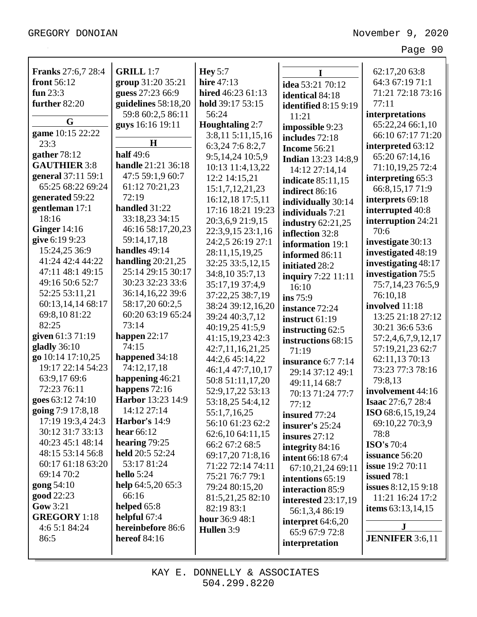| <b>Franks</b> 27:6,7 28:4 | <b>GRILL 1:7</b>                         | <b>Hey</b> 5:7                       |                             | 62:17,20 63:8                         |
|---------------------------|------------------------------------------|--------------------------------------|-----------------------------|---------------------------------------|
| front 56:12               | group 31:20 35:21                        | <b>hire</b> 47:13                    | I                           | 64:3 67:19 71:1                       |
| fun $23:3$                | guess 27:23 66:9                         | hired 46:23 61:13                    | idea 53:21 70:12            | 71:21 72:18 73:16                     |
| further 82:20             | guidelines 58:18,20                      | hold 39:17 53:15                     | identical 84:18             | 77:11                                 |
|                           | 59:8 60:2,5 86:11                        | 56:24                                | <b>identified</b> 8:15 9:19 |                                       |
| G                         |                                          |                                      | 11:21                       | interpretations                       |
| game 10:15 22:22          | guys 16:16 19:11                         | <b>Houghtaling 2:7</b>               | impossible 9:23             | 65:22,24 66:1,10<br>66:10 67:17 71:20 |
| 23:3                      | H                                        | 3:8,11 5:11,15,16                    | includes 72:18              |                                       |
| gather 78:12              | <b>half</b> 49:6                         | 6:3,24 7:6 8:2,7<br>9:5,14,24 10:5,9 | <b>Income 56:21</b>         | interpreted 63:12<br>65:20 67:14,16   |
| <b>GAUTHIER 3:8</b>       | <b>handle</b> 21:21 36:18                |                                      | <b>Indian</b> 13:23 14:8,9  |                                       |
| general 37:11 59:1        | 47:5 59:1,9 60:7                         | 10:13 11:4,13,22                     | 14:12 27:14,14              | 71:10,19,25 72:4                      |
| 65:25 68:22 69:24         | 61:12 70:21,23                           | 12:2 14:15,21                        | <b>indicate</b> 85:11,15    | interpreting 65:3                     |
| generated 59:22           | 72:19                                    | 15:1,7,12,21,23                      | indirect 86:16              | 66:8,15,1771:9                        |
| gentleman 17:1            | handled 31:22                            | 16:12,18 17:5,11                     | individually 30:14          | interprets 69:18                      |
| 18:16                     | 33:18,23 34:15                           | 17:16 18:21 19:23                    | individuals 7:21            | interrupted 40:8                      |
| Ginger $14:16$            | 46:16 58:17,20,23                        | 20:3,6,9 21:9,15                     | industry $62:21,25$         | interruption 24:21                    |
| give 6:19 9:23            | 59:14,17,18                              | 22:3,9,15 23:1,16                    | inflection 32:8             | 70:6                                  |
| 15:24,25 36:9             | handles 49:14                            | 24:2,5 26:19 27:1                    | information 19:1            | investigate 30:13                     |
| 41:24 42:4 44:22          | handling $20:21,25$                      | 28:11,15,19,25                       | informed 86:11              | investigated 48:19                    |
| 47:11 48:1 49:15          | 25:14 29:15 30:17                        | 32:25 33:5,12,15                     | initiated 28:2              | investigating 48:17                   |
| 49:16 50:6 52:7           | 30:23 32:23 33:6                         | 34:8,10 35:7,13                      | inquiry $7:22$ 11:11        | investigation 75:5                    |
| 52:25 53:11,21            | 36:14,16,22 39:6                         | 35:17,19 37:4,9                      | 16:10                       | 75:7,14,23 76:5,9                     |
| 60:13,14,14 68:17         | 58:17,20 60:2,5                          | 37:22,25 38:7,19                     | ins 75:9                    | 76:10,18                              |
| 69:8,10 81:22             | 60:20 63:19 65:24                        | 38:24 39:12,16,20                    | instance 72:24              | involved 11:18                        |
| 82:25                     | 73:14                                    | 39:24 40:3,7,12                      | instruct 61:19              | 13:25 21:18 27:12                     |
| given 61:3 71:19          |                                          | 40:19,25 41:5,9                      | instructing 62:5            | 30:21 36:6 53:6                       |
| gladly $36:10$            | happen $22:17$<br>74:15                  | 41:15,19,23 42:3                     | instructions 68:15          | 57:2,4,6,7,9,12,17                    |
| go 10:14 17:10,25         | happened 34:18                           | 42:7,11,16,21,25                     | 71:19                       | 57:19,21,23 62:7                      |
| 19:17 22:14 54:23         |                                          | 44:2,6 45:14,22                      | insurance $6:77:14$         | 62:11,13 70:13                        |
| 63:9,17 69:6              | 74:12,17,18                              | 46:1,4 47:7,10,17                    | 29:14 37:12 49:1            | 73:23 77:3 78:16                      |
| 72:23 76:11               | happening 46:21<br>happens 72:16         | 50:8 51:11,17,20                     | 49:11,14 68:7               | 79:8,13                               |
| goes 63:12 74:10          | Harbor 13:23 14:9                        | 52:9,17,22 53:13                     | 70:13 71:24 77:7            | involvement 44:16                     |
| going 7:9 17:8,18         | 14:12 27:14                              | 53:18,25 54:4,12                     | 77:12                       | <b>Isaac</b> 27:6,7 28:4              |
| 17:19 19:3,4 24:3         | Harbor's 14:9                            | 55:1,7,16,25                         | insured $77:24$             | <b>ISO</b> 68:6,15,19,24              |
| 30:12 31:7 33:13          | hear $66:12$                             | 56:10 61:23 62:2                     | insurer's 25:24             | 69:10,22 70:3,9                       |
| 40:23 45:1 48:14          | hearing 79:25                            | 62:6,10 64:11,15                     | insures $27:12$             | 78:8                                  |
| 48:15 53:14 56:8          | held 20:5 52:24                          | 66:2 67:2 68:5                       | integrity 84:16             | <b>ISO's</b> 70:4                     |
| 60:17 61:18 63:20         | 53:17 81:24                              | 69:17,20 71:8,16                     | <b>intent</b> 66:18 67:4    | issuance 56:20                        |
|                           |                                          | 71:22 72:14 74:11                    | 67:10,21,24 69:11           | <b>issue</b> 19:2 70:11               |
| 69:14 70:2                | hello $5:24$                             | 75:21 76:7 79:1                      | intentions 65:19            | issued $78:1$                         |
| gong 54:10                | help $64:5,2065:3$                       | 79:24 80:15,20                       | interaction 85:9            | <b>issues</b> 8:12,15 9:18            |
| good 22:23                | 66:16                                    | 81:5,21,25 82:10                     | <b>interested</b> 23:17,19  | 11:21 16:24 17:2                      |
| Gow 3:21                  | helped 65:8                              | 82:19 83:1                           | 56:1,3,4 86:19              | items $63:13,14,15$                   |
| <b>GREGORY</b> 1:18       | helpful 67:4                             | hour 36:9 48:1                       | interpret $64:6,20$         | ${\bf J}$                             |
| 4:6 5:1 84:24             | hereinbefore 86:6<br><b>hereof</b> 84:16 | Hullen 3:9                           | 65:9 67:9 72:8              |                                       |
| 86:5                      |                                          |                                      | interpretation              | <b>JENNIFER</b> 3:6,11                |
|                           |                                          |                                      |                             |                                       |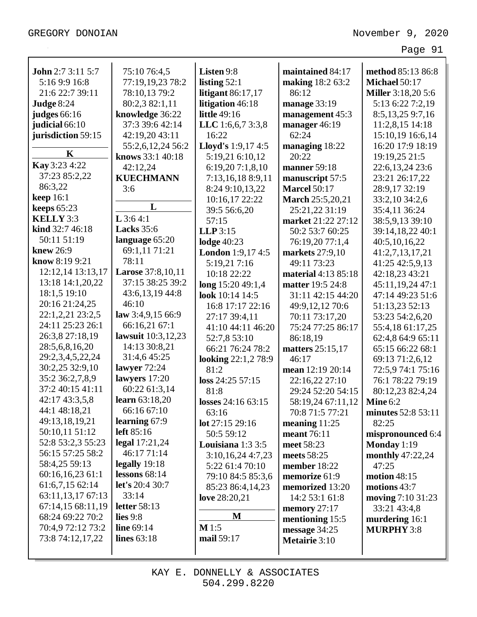| <b>John</b> 2:7 3:11 5:7 | 75:10 76:4,5             | Listen 9:8                 | maintained 84:17        | method 85:13 86:8         |
|--------------------------|--------------------------|----------------------------|-------------------------|---------------------------|
| 5:16 9:9 16:8            | 77:19,19,23 78:2         | listing $52:1$             | making 18:2 63:2        | Michael 50:17             |
| 21:6 22:7 39:11          | 78:10,13 79:2            | litigant $86:17,17$        | 86:12                   | <b>Miller</b> 3:18,20 5:6 |
| Judge 8:24               | 80:2,3 82:1,11           | litigation 46:18           | manage 33:19            | 5:13 6:22 7:2,19          |
| judges 66:16             | knowledge 36:22          | <b>little</b> 49:16        | management 45:3         | 8:5, 13, 25 9:7, 16       |
| judicial 66:10           | 37:3 39:6 42:14          | LLC 1:6,6,7 3:3,8          | manager 46:19           | 11:2,8,15 14:18           |
| jurisdiction 59:15       | 42:19,20 43:11           | 16:22                      | 62:24                   | 15:10,19 16:6,14          |
|                          | 55:2,6,12,24 56:2        | Lloyd's 1:9,17 4:5         | managing 18:22          | 16:20 17:9 18:19          |
| $\mathbf K$              | knows 33:1 40:18         | 5:19,21 6:10,12            | 20:22                   | 19:19,25 21:5             |
| Kay 3:23 4:22            | 42:12,24                 | 6:19,207:1,8,10            | <b>manner</b> 59:18     | 22:6, 13, 24 23:6         |
| 37:23 85:2,22            | <b>KUECHMANN</b>         | 7:13,16,18 8:9,11          | manuscript 57:5         | 23:21 26:17,22            |
| 86:3,22                  | 3:6                      | 8:24 9:10,13,22            | <b>Marcel 50:17</b>     | 28:9,17 32:19             |
| <b>keep</b> 16:1         |                          | 10:16,17 22:22             | <b>March</b> 25:5,20,21 | 33:2,10 34:2,6            |
| keeps $65:23$            | L                        | 39:5 56:6,20               | 25:21,22 31:19          | 35:4,11 36:24             |
| KELLY 3:3                | $L$ 3:64:1               | 57:15                      | market 21:22 27:12      | 38:5,9,13 39:10           |
| kind 32:7 46:18          | <b>Lacks</b> 35:6        | $LLP$ 3:15                 | 50:2 53:7 60:25         | 39:14,18,22 40:1          |
| 50:11 51:19              | language 65:20           | <b>lodge</b> 40:23         | 76:19,20 77:1,4         | 40:5,10,16,22             |
| knew 26:9                | 69:1,11 71:21            | <b>London</b> 1:9,17 4:5   | <b>markets</b> 27:9,10  | 41:2,7,13,17,21           |
| know 8:19 9:21           | 78:11                    | 5:19,217:16                | 49:11 73:23             | 41:25 42:5,9,13           |
| 12:12,14 13:13,17        | <b>Larose</b> 37:8,10,11 | 10:18 22:22                | material 4:13 85:18     | 42:18,23 43:21            |
| 13:18 14:1,20,22         | 37:15 38:25 39:2         | long 15:20 49:1,4          | matter 19:5 24:8        | 45:11,19,24 47:1          |
| 18:1,5 19:10             | 43:6,13,19 44:8          | look 10:14 14:5            | 31:11 42:15 44:20       | 47:14 49:23 51:6          |
| 20:16 21:24,25           | 46:10                    | 16:8 17:17 22:16           | 49:9,12,12 70:6         | 51:13,23 52:13            |
| 22:1,2,21 23:2,5         | law 3:4,9,15 66:9        | 27:17 39:4,11              | 70:11 73:17,20          | 53:23 54:2,6,20           |
| 24:11 25:23 26:1         | 66:16,21 67:1            | 41:10 44:11 46:20          | 75:24 77:25 86:17       | 55:4,18 61:17,25          |
| 26:3,8 27:18,19          | lawsuit 10:3,12,23       | 52:7,8 53:10               | 86:18,19                | 62:4,8 64:9 65:11         |
| 28:5,6,8,16,20           | 14:13 30:8,21            | 66:21 76:24 78:2           | matters 25:15,17        | 65:15 66:22 68:1          |
| 29:2,3,4,5,22,24         | 31:4,6 45:25             | <b>looking</b> 22:1,2 78:9 | 46:17                   | 69:13 71:2,6,12           |
| 30:2,25 32:9,10          | lawyer 72:24             | 81:2                       | mean 12:19 20:14        | 72:5,9 74:1 75:16         |
| 35:2 36:2,7,8,9          | lawyers 17:20            | loss 24:25 57:15           | 22:16,22 27:10          | 76:1 78:22 79:19          |
| 37:2 40:15 41:11         | 60:22 61:3,14            | 81:8                       | 29:24 52:20 54:15       | 80:12,23 82:4,24          |
| 42:17 43:3,5,8           | learn 63:18,20           | losses 24:16 63:15         | 58:19,24 67:11,12       | Mine $6:2$                |
| 44:1 48:18,21            | 66:16 67:10              | 63:16                      | 70:8 71:5 77:21         | minutes 52:8 53:11        |
| 49:13,18,19,21           | learning 67:9            | lot 27:15 29:16            | meaning $11:25$         | 82:25                     |
| 50:10,11 51:12           | left $85:16$             | 50:5 59:12                 | meant 76:11             | mispronounced 6:4         |
| 52:8 53:2,3 55:23        | legal 17:21,24           | Louisiana $1:33:5$         | meet 58:23              | Monday $1:19$             |
| 56:15 57:25 58:2         | 46:17 71:14              | 3:10,16,24 4:7,23          | meets 58:25             | monthly 47:22,24          |
| 58:4,25 59:13            | legally $19:18$          | 5:22 61:4 70:10            | member 18:22            | 47:25                     |
| 60:16,16,2361:1          | lessons $68:14$          | 79:10 84:5 85:3,6          | memorize 61:9           | motion 48:15              |
| 61:6,7,15 62:14          | let's 20:4 30:7          | 85:23 86:4,14,23           | memorized 13:20         | motions 43:7              |
| 63:11,13,17 67:13        | 33:14                    | love 28:20,21              | 14:2 53:1 61:8          | moving 7:10 31:23         |
| 67:14,15 68:11,19        | letter 58:13             |                            | memory 27:17            | 33:21 43:4,8              |
| 68:24 69:22 70:2         | lies $9:8$               | M                          | mentioning 15:5         | murdering 16:1            |
| 70:4,9 72:12 73:2        | line 69:14               | $M$ 1:5                    | message 34:25           | <b>MURPHY 3:8</b>         |
| 73:8 74:12,17,22         | lines 63:18              | mail 59:17                 | Metairie 3:10           |                           |
|                          |                          |                            |                         |                           |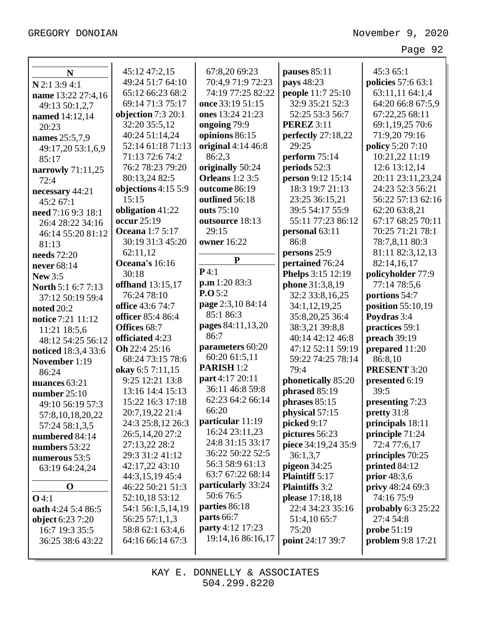| N                         | 45:12 47:2,15          | 67:8,20 69:23                     | pauses $85:11$        | 45:3 65:1              |
|---------------------------|------------------------|-----------------------------------|-----------------------|------------------------|
| $N$ 2:1 3:9 4:1           | 49:24 51:7 64:10       | 70:4,9 71:9 72:23                 | pays 48:23            | policies 57:6 63:1     |
| name 13:22 27:4,16        | 65:12 66:23 68:2       | 74:19 77:25 82:22                 | people 11:7 25:10     | 63:11,11 64:1,4        |
| 49:13 50:1,2,7            | 69:14 71:3 75:17       | once 33:19 51:15                  | 32:9 35:21 52:3       | 64:20 66:8 67:5,9      |
| named 14:12,14            | objection 7:3 20:1     | ones 13:24 21:23                  | 52:25 53:3 56:7       | 67:22,25 68:11         |
| 20:23                     | 32:20 35:5,12          | ongoing 79:9                      | <b>PEREZ</b> 3:11     | 69:1,19,25 70:6        |
| names 25:5,7,9            | 40:24 51:14,24         | opinions 86:15                    | perfectly 27:18,22    | 71:9,20 79:16          |
| 49:17,20 53:1,6,9         | 52:14 61:18 71:13      | original 4:14 46:8                | 29:25                 | policy 5:20 7:10       |
| 85:17                     | 71:13 72:6 74:2        | 86:2,3                            | perform 75:14         | 10:21,22 11:19         |
| narrowly 71:11,25         | 76:2 78:23 79:20       | originally 50:24                  | periods 52:3          | 12:6 13:12,14          |
| 72:4                      | 80:13,24 82:5          | <b>Orleans</b> 1:2 3:5            | person 9:12 15:14     | 20:11 23:11,23,24      |
| necessary 44:21           | objections 4:15 5:9    | outcome 86:19                     | 18:3 19:7 21:13       | 24:23 52:3 56:21       |
| 45:2 67:1                 | 15:15                  | outlined 56:18                    | 23:25 36:15,21        | 56:22 57:13 62:16      |
| need 7:16 9:3 18:1        | obligation 41:22       | outs 75:10                        | 39:5 54:17 55:9       | 62:20 63:8,21          |
| 26:4 28:22 34:16          | occur 25:19            | outsource 18:13                   | 55:11 77:23 86:12     | 67:17 68:25 70:11      |
| 46:14 55:20 81:12         | <b>Oceana</b> 1:7 5:17 | 29:15                             | personal 63:11        | 70:25 71:21 78:1       |
| 81:13                     | 30:19 31:3 45:20       | <b>owner</b> 16:22                | 86:8                  | 78:7,8,11 80:3         |
| needs 72:20               | 62:11,12               |                                   | persons 25:9          | 81:11 82:3,12,13       |
| never 68:14               | Oceana's 16:16         | ${\bf P}$                         | pertained 76:24       | 82:14,16,17            |
| <b>New 3:5</b>            | 30:18                  | P4:1                              | Phelps 3:15 12:19     | policyholder 77:9      |
| <b>North 5:1 6:7 7:13</b> | offhand 13:15,17       | $\mathbf{p}.\mathbf{m}$ 1:20 83:3 | phone 31:3,8,19       | 77:14 78:5,6           |
| 37:12 50:19 59:4          | 76:24 78:10            | P.O.5:2                           | 32:2 33:8,16,25       | portions 54:7          |
| noted $20:2$              | office 43:6 74:7       | page 2:3,10 84:14                 | 34:1,12,19,25         | position 55:10,19      |
| notice 7:21 11:12         | officer 85:4 86:4      | 85:1 86:3                         | 35:8,20,25 36:4       | Poydras 3:4            |
| 11:21 18:5,6              | Offices 68:7           | pages 84:11,13,20                 | 38:3,21 39:8,8        | practices 59:1         |
| 48:12 54:25 56:12         | officiated 4:23        | 86:7                              | 40:14 42:12 46:8      | preach 39:19           |
| noticed 18:3,4 33:6       | Oh 22:4 25:16          | parameters 60:20                  | 47:12 52:11 59:19     | prepared 11:20         |
| November 1:19             | 68:24 73:15 78:6       | 60:20 61:5,11                     | 59:22 74:25 78:14     | 86:8,10                |
| 86:24                     | okay 6:5 7:11,15       | PARISH <sub>1:2</sub>             | 79:4                  | <b>PRESENT 3:20</b>    |
| nuances 63:21             | 9:25 12:21 13:8        | part 4:17 20:11                   | phonetically 85:20    | presented 6:19         |
| number $25:10$            | 13:16 14:4 15:13       | 36:11 46:8 59:8                   | phrased 85:19         | 39:5                   |
| 49:10 56:19 57:3          | 15:22 16:3 17:18       | 62:23 64:2 66:14                  | phrases $85:15$       | presenting 7:23        |
| 57:8,10,18,20,22          | 20:7,19,22 21:4        | 66:20                             | physical 57:15        | pretty 31:8            |
| 57:24 58:1,3,5            | 24:3 25:8,12 26:3      | particular 11:19                  | picked 9:17           | principals 18:11       |
| numbered 84:14            | 26:5,14,20 27:2        | 16:24 23:11,23                    | pictures 56:23        | principle 71:24        |
| numbers 53:22             | 27:13,22 28:2          | 24:8 31:15 33:17                  | piece 34:19,24 35:9   | 72:4 77:6,17           |
| numerous 53:5             | 29:3 31:2 41:12        | 36:22 50:22 52:5                  | 36:1,3,7              | principles 70:25       |
| 63:19 64:24,24            | 42:17,22 43:10         | 56:3 58:9 61:13                   | pigeon 34:25          | printed 84:12          |
|                           | 44:3,15,19 45:4        | 63:7 67:22 68:14                  | <b>Plaintiff</b> 5:17 | prior $48:3,6$         |
| $\mathbf 0$               | 46:22 50:21 51:3       | particularly 33:24                | <b>Plaintiffs</b> 3:2 | privy 48:24 69:3       |
| $O$ 4:1                   | 52:10,18 53:12         | 50:676:5                          | please 17:18,18       | 74:16 75:9             |
| oath 4:24 5:4 86:5        | 54:1 56:1,5,14,19      | parties 86:18                     | 22:4 34:23 35:16      | probably $6:3$ $25:22$ |
| <b>object</b> 6:23 7:20   | 56:25 57:1,1,3         | parts 66:7                        | 51:4,10 65:7          | 27:4 54:8              |
| 16:7 19:3 35:5            | 58:8 62:1 63:4,6       | party 4:12 17:23                  | 75:20                 | <b>probe</b> 51:19     |
| 36:25 38:6 43:22          | 64:16 66:14 67:3       | 19:14,16 86:16,17                 | point 24:17 39:7      | problem 9:8 17:21      |
|                           |                        |                                   |                       |                        |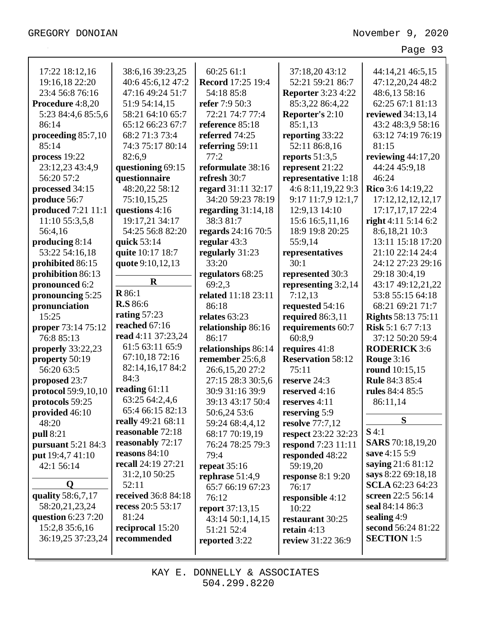| 17:22 18:12,16            | 38:6,16 39:23,25                    | 60:25 61:1               | 37:18,20 43:12            | 44:14,21 46:5,15                         |
|---------------------------|-------------------------------------|--------------------------|---------------------------|------------------------------------------|
| 19:16,18 22:20            | 40:6 45:6,12 47:2                   | <b>Record</b> 17:25 19:4 | 52:21 59:21 86:7          | 47:12,20,24 48:2                         |
| 23:4 56:8 76:16           | 47:16 49:24 51:7                    | 54:18 85:8               | <b>Reporter 3:23 4:22</b> | 48:6,13 58:16                            |
| Procedure 4:8,20          | 51:9 54:14,15                       | refer 7:9 50:3           | 85:3,22 86:4,22           | 62:25 67:1 81:13                         |
| 5:23 84:4,6 85:5,6        | 58:21 64:10 65:7                    | 72:21 74:7 77:4          | <b>Reporter's 2:10</b>    | reviewed 34:13,14                        |
| 86:14                     | 65:12 66:23 67:7                    | reference 85:18          | 85:1,13                   | 43:2 48:3,9 58:16                        |
| proceeding 85:7,10        | 68:2 71:3 73:4                      | referred 74:25           | reporting 33:22           | 63:12 74:19 76:19                        |
| 85:14                     | 74:3 75:17 80:14                    | referring 59:11          | 52:11 86:8,16             | 81:15                                    |
| process $19:22$           | 82:6,9                              | 77:2                     | reports $51:3,5$          | reviewing $44:17,20$                     |
| 23:12,23 43:4,9           | questioning 69:15                   | reformulate 38:16        | represent 21:22           | 44:24 45:9,18                            |
| 56:20 57:2                | questionnaire                       | refresh 30:7             | representative 1:18       | 46:24                                    |
| processed 34:15           | 48:20,22 58:12                      | regard 31:11 32:17       | 4:6 8:11,19,22 9:3        | Rico 3:6 14:19,22                        |
| produce 56:7              | 75:10,15,25                         | 34:20 59:23 78:19        | 9:17 11:7,9 12:1,7        | 17:12, 12, 12, 12, 17                    |
| produced 7:21 11:1        | questions 4:16                      | regarding $31:14,18$     | 12:9,13 14:10             | 17:17,17,17 22:4                         |
| 11:10 55:3,5,8            | 19:17,21 34:17                      | 38:3 81:7                | 15:6 16:5,11,16           | right 4:11 5:14 6:2                      |
| 56:4,16                   | 54:25 56:8 82:20                    | regards 24:16 70:5       | 18:9 19:8 20:25           | 8:6,18,21 10:3                           |
| producing $8:14$          | quick 53:14                         | regular 43:3             | 55:9,14                   | 13:11 15:18 17:20                        |
| 53:22 54:16,18            | quite 10:17 18:7                    | regularly 31:23          | representatives           | 21:10 22:14 24:4                         |
| prohibited 86:15          | quote 9:10,12,13                    | 33:20                    | 30:1                      | 24:12 27:23 29:16                        |
| prohibition 86:13         |                                     | regulators 68:25         | represented 30:3          | 29:18 30:4,19                            |
| pronounced 6:2            | $\mathbf R$                         | 69:2,3                   | representing 3:2,14       | 43:17 49:12,21,22                        |
| pronouncing 5:25          | <b>R</b> 86:1                       | related 11:18 23:11      | 7:12,13                   | 53:8 55:15 64:18                         |
| pronunciation             | <b>R.S</b> 86:6                     | 86:18                    | requested 54:16           | 68:21 69:21 71:7                         |
| 15:25                     | rating $57:23$                      | relates 63:23            | required $86:3,11$        | <b>Rights</b> 58:13 75:11                |
| proper 73:14 75:12        | reached 67:16                       | relationship 86:16       | requirements 60:7         | Risk 5:1 6:7 7:13                        |
| 76:8 85:13                | read 4:11 37:23,24                  | 86:17                    | 60:8,9                    | 37:12 50:20 59:4                         |
|                           |                                     |                          |                           |                                          |
|                           | 61:5 63:11 65:9                     |                          |                           |                                          |
| properly $33:22,23$       | 67:10,1872:16                       | relationships 86:14      | requires 41:8             | <b>RODERICK 3:6</b>                      |
| property 50:19            | 82:14,16,17 84:2                    | remember 25:6,8          | <b>Reservation 58:12</b>  | Rouge $3:16$                             |
| 56:20 63:5                | 84:3                                | 26:6,15,20 27:2          | 75:11                     | round 10:15,15                           |
| proposed 23:7             | reading $61:11$                     | 27:15 28:3 30:5,6        | reserve 24:3              | <b>Rule 84:3 85:4</b>                    |
| protocol 59:9,10,10       | 63:25 64:2,4,6                      | 30:9 31:16 39:9          | reserved 4:16             | rules 84:4 85:5                          |
| protocols 59:25           | 65:4 66:15 82:13                    | 39:13 43:17 50:4         | reserves 4:11             | 86:11,14                                 |
| provided 46:10            | really 49:21 68:11                  | 50:6,24 53:6             | reserving 5:9             | S                                        |
| 48:20                     | reasonable 72:18                    | 59:24 68:4,4,12          | resolve 77:7,12           | $S$ 4:1                                  |
| <b>pull 8:21</b>          |                                     | 68:17 70:19,19           | respect 23:22 32:23       |                                          |
| <b>pursuant</b> 5:21 84:3 | reasonably 72:17<br>reasons $84:10$ | 76:24 78:25 79:3         | <b>respond</b> 7:23 11:11 | <b>SARS</b> 70:18,19,20<br>save 4:15 5:9 |
| put 19:4,7 41:10          | recall 24:19 27:21                  | 79:4                     | responded 48:22           |                                          |
| 42:1 56:14                |                                     | repeat $35:16$           | 59:19,20                  | saying 21:6 81:12                        |
| O                         | 31:2,10 50:25<br>52:11              | rephrase $51:4,9$        | response $8:19:20$        | says 8:22 69:18,18                       |
|                           |                                     | 65:7 66:19 67:23         | 76:17                     | <b>SCLA</b> 62:23 64:23                  |
| quality 58:6,7,17         | received 36:8 84:18                 | 76:12                    | responsible 4:12          | screen 22:5 56:14                        |
| 58:20,21,23,24            | recess 20:5 53:17<br>81:24          | report 37:13,15          | 10:22                     | seal 84:14 86:3                          |
| question $6:237:20$       |                                     | 43:14 50:1,14,15         | restaurant 30:25          | sealing $4:9$                            |
| 15:2,8 35:6,16            | reciprocal 15:20<br>recommended     | 51:21 52:4               | retain $4:13$             | second 56:24 81:22                       |
| 36:19,25 37:23,24         |                                     | reported 3:22            | review 31:22 36:9         | <b>SECTION</b> 1:5                       |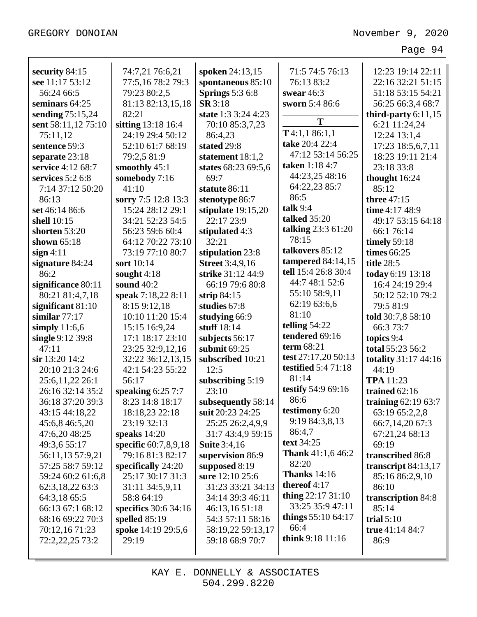| security 84:15      | 74:7,21 76:6,21      | spoken 24:13,15        | 71:5 74:5 76:13            | 12:23 19:14 22:11       |
|---------------------|----------------------|------------------------|----------------------------|-------------------------|
| see 11:17 53:12     | 77:5,16 78:2 79:3    | spontaneous 85:10      | 76:13 83:2                 | 22:16 32:21 51:15       |
| 56:24 66:5          | 79:23 80:2,5         | <b>Springs</b> 5:3 6:8 | swear $46:3$               | 51:18 53:15 54:21       |
| seminars 64:25      | 81:13 82:13,15,18    | <b>SR</b> 3:18         | sworn 5:4 86:6             | 56:25 66:3,4 68:7       |
| sending 75:15,24    | 82:21                | state 1:3 3:24 4:23    | T                          | third-party $6:11,15$   |
| sent 58:11,12 75:10 | sitting 13:18 16:4   | 70:10 85:3,7,23        |                            | 6:21 11:24,24           |
| 75:11,12            | 24:19 29:4 50:12     | 86:4,23                | $T$ 4:1,1 86:1,1           | 12:24 13:1,4            |
| sentence 59:3       | 52:10 61:7 68:19     | stated 29:8            | take 20:4 22:4             | 17:23 18:5,6,7,11       |
| separate 23:18      | 79:2,5 81:9          | statement 18:1,2       | 47:12 53:14 56:25          | 18:23 19:11 21:4        |
| service 4:12 68:7   | smoothly 45:1        | states 68:23 69:5,6    | taken 1:18 4:7             | 23:18 33:8              |
| services $5:26:8$   | somebody 7:16        | 69:7                   | 44:23,25 48:16             | thought 16:24           |
| 7:14 37:12 50:20    | 41:10                | statute 86:11          | 64:22,23 85:7              | 85:12                   |
| 86:13               | sorry 7:5 12:8 13:3  | stenotype 86:7         | 86:5                       | three 47:15             |
| set 46:14 86:6      | 15:24 28:12 29:1     | stipulate $19:15,20$   | talk $9:4$                 | time 4:17 48:9          |
| shell 10:15         | 34:21 52:23 54:5     | 22:17 23:9             | <b>talked</b> 35:20        | 49:17 53:15 64:18       |
| shorten 53:20       | 56:23 59:6 60:4      | stipulated 4:3         | talking $23:361:20$        | 66:1 76:14              |
| shown $65:18$       | 64:12 70:22 73:10    | 32:21                  | 78:15                      | timely $59:18$          |
| sign 4:11           | 73:19 77:10 80:7     | stipulation 23:8       | talkovers 85:12            | times 66:25             |
| signature 84:24     | sort 10:14           | <b>Street</b> 3:4,9,16 | tampered $84:14,15$        | title 28:5              |
| 86:2                | sought $4:18$        | strike 31:12 44:9      | tell 15:4 26:8 30:4        | today 6:19 13:18        |
| significance 80:11  | sound 40:2           | 66:19 79:6 80:8        | 44:7 48:1 52:6             | 16:4 24:19 29:4         |
| 80:21 81:4,7,18     | speak 7:18,22 8:11   | strip $84:15$          | 55:10 58:9,11              | 50:12 52:10 79:2        |
| significant $81:10$ | 8:15 9:12,18         | studies 67:8           | 62:19 63:6,6               | 79:5 81:9               |
| similar $77:17$     | 10:10 11:20 15:4     | studying 66:9          | 81:10                      | told 30:7,8 58:10       |
| simply $11:6,6$     | 15:15 16:9,24        | stuff 18:14            | telling $54:22$            | 66:3 73:7               |
| single 9:12 39:8    | 17:1 18:17 23:10     | subjects 56:17         | tendered 69:16             | topics 9:4              |
| 47:11               | 23:25 32:9,12,16     | submit 69:25           | term 68:21                 | total 55:23 56:2        |
| $\sin 13:20$ 14:2   | 32:22 36:12,13,15    | subscribed 10:21       | test 27:17,20 50:13        | totality 31:17 44:16    |
| 20:10 21:3 24:6     | 42:1 54:23 55:22     | 12:5                   | <b>testified</b> 5:4 71:18 | 44:19                   |
| 25:6,11,22 26:1     | 56:17                | subscribing $5:19$     | 81:14                      | <b>TPA</b> 11:23        |
| 26:16 32:14 35:2    | speaking $6:257:7$   | 23:10                  | testify 54:9 69:16         | trained $62:16$         |
| 36:18 37:20 39:3    | 8:23 14:8 18:17      | subsequently 58:14     | 86:6                       | training $62:19$ $63:7$ |
| 43:15 44:18,22      | 18:18,23 22:18       | suit 20:23 24:25       | testimony 6:20             | 63:19 65:2,2,8          |
| 45:6,8 46:5,20      | 23:19 32:13          | 25:25 26:2,4,9,9       | 9:19 84:3,8,13             | 66:7,14,20 67:3         |
| 47:6,20 48:25       | speaks $14:20$       | 31:7 43:4,9 59:15      | 86:4,7                     | 67:21,24 68:13          |
| 49:3,6 55:17        | specific 60:7,8,9,18 | <b>Suite</b> 3:4,16    | text 34:25                 | 69:19                   |
| 56:11,13 57:9,21    | 79:16 81:3 82:17     | supervision 86:9       | <b>Thank</b> 41:1,6 46:2   | transcribed 86:8        |
| 57:25 58:7 59:12    | specifically $24:20$ | supposed $8:19$        | 82:20                      | transcript 84:13,17     |
| 59:24 60:2 61:6,8   | 25:17 30:17 31:3     | sure 12:10 25:6        | <b>Thanks</b> 14:16        | 85:16 86:2,9,10         |
| 62:3,18,22 63:3     | 31:11 34:5,9,11      | 31:23 33:21 34:13      | thereof 4:17               | 86:10                   |
| 64:3,18 65:5        | 58:8 64:19           | 34:14 39:3 46:11       | thing $22:1731:10$         | transcription 84:8      |
| 66:13 67:1 68:12    | specifics 30:6 34:16 | 46:13,16 51:18         | 33:25 35:9 47:11           | 85:14                   |
| 68:16 69:22 70:3    | spelled $85:19$      | 54:3 57:11 58:16       | things 55:10 64:17         | trial $5:10$            |
| 70:12,16 71:23      | spoke 14:19 29:5,6   | 58:19,22 59:13,17      | 66:4                       | true 41:14 84:7         |
| 72:2,22,25 73:2     | 29:19                | 59:18 68:9 70:7        | think 9:18 11:16           | 86:9                    |
|                     |                      |                        |                            |                         |